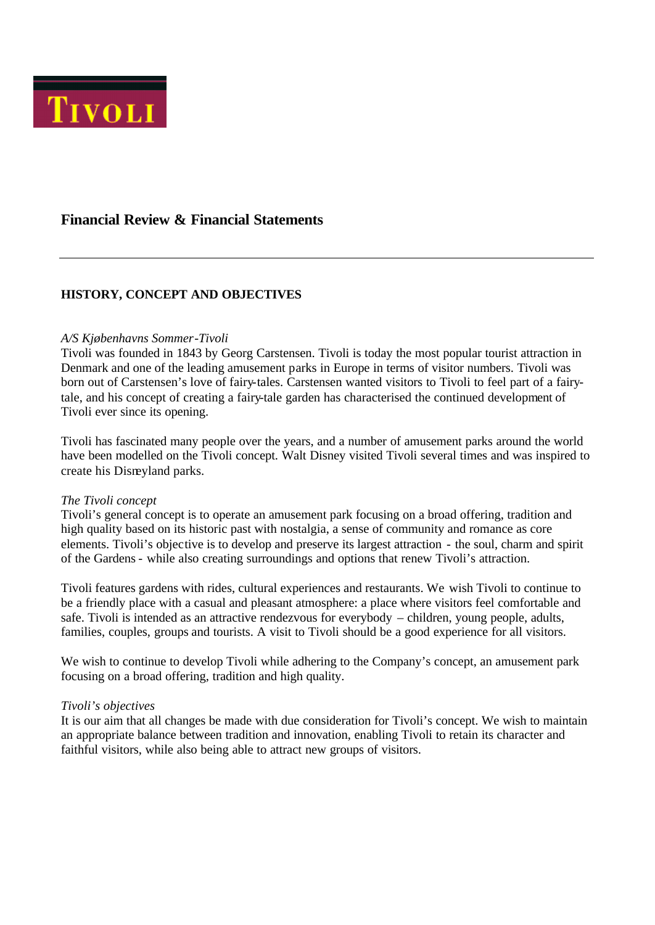

# **Financial Review & Financial Statements**

## **HISTORY, CONCEPT AND OBJECTIVES**

#### *A/S Kjøbenhavns Sommer-Tivoli*

Tivoli was founded in 1843 by Georg Carstensen. Tivoli is today the most popular tourist attraction in Denmark and one of the leading amusement parks in Europe in terms of visitor numbers. Tivoli was born out of Carstensen's love of fairy-tales. Carstensen wanted visitors to Tivoli to feel part of a fairytale, and his concept of creating a fairy-tale garden has characterised the continued development of Tivoli ever since its opening.

Tivoli has fascinated many people over the years, and a number of amusement parks around the world have been modelled on the Tivoli concept. Walt Disney visited Tivoli several times and was inspired to create his Disneyland parks.

#### *The Tivoli concept*

Tivoli's general concept is to operate an amusement park focusing on a broad offering, tradition and high quality based on its historic past with nostalgia, a sense of community and romance as core elements. Tivoli's objective is to develop and preserve its largest attraction - the soul, charm and spirit of the Gardens - while also creating surroundings and options that renew Tivoli's attraction.

Tivoli features gardens with rides, cultural experiences and restaurants. We wish Tivoli to continue to be a friendly place with a casual and pleasant atmosphere: a place where visitors feel comfortable and safe. Tivoli is intended as an attractive rendezvous for everybody – children, young people, adults, families, couples, groups and tourists. A visit to Tivoli should be a good experience for all visitors.

We wish to continue to develop Tivoli while adhering to the Company's concept, an amusement park focusing on a broad offering, tradition and high quality.

#### *Tivoli's objectives*

It is our aim that all changes be made with due consideration for Tivoli's concept. We wish to maintain an appropriate balance between tradition and innovation, enabling Tivoli to retain its character and faithful visitors, while also being able to attract new groups of visitors.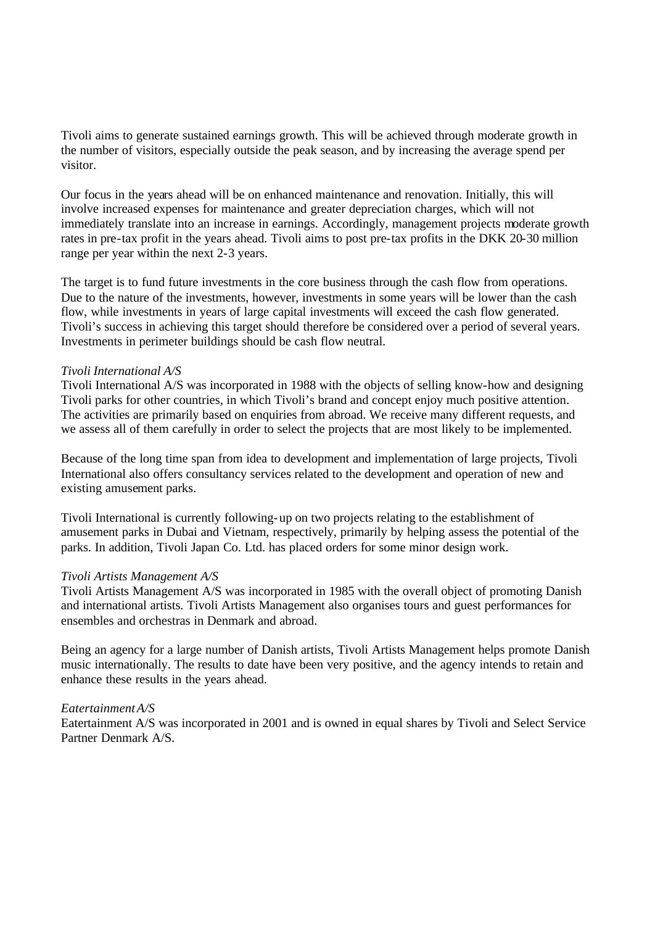Tivoli aims to generate sustained earnings growth. This will be achieved through moderate growth in the number of visitors, especially outside the peak season, and by increasing the average spend per visitor.

Our focus in the years ahead will be on enhanced maintenance and renovation. Initially, this will involve increased expenses for maintenance and greater depreciation charges, which will not immediately translate into an increase in earnings. Accordingly, management projects moderate growth rates in pre-tax profit in the years ahead. Tivoli aims to post pre-tax profits in the DKK 20-30 million range per year within the next 2-3 years.

The target is to fund future investments in the core business through the cash flow from operations. Due to the nature of the investments, however, investments in some years will be lower than the cash flow, while investments in years of large capital investments will exceed the cash flow generated. Tivoli's success in achieving this target should therefore be considered over a period of several years. Investments in perimeter buildings should be cash flow neutral.

### *Tivoli International A/S*

Tivoli International A/S was incorporated in 1988 with the objects of selling know-how and designing Tivoli parks for other countries, in which Tivoli's brand and concept enjoy much positive attention. The activities are primarily based on enquiries from abroad. We receive many different requests, and we assess all of them carefully in order to select the projects that are most likely to be implemented.

Because of the long time span from idea to development and implementation of large projects, Tivoli International also offers consultancy services related to the development and operation of new and existing amusement parks.

Tivoli International is currently following-up on two projects relating to the establishment of amusement parks in Dubai and Vietnam, respectively, primarily by helping assess the potential of the parks. In addition, Tivoli Japan Co. Ltd. has placed orders for some minor design work.

#### *Tivoli Artists Management A/S*

Tivoli Artists Management A/S was incorporated in 1985 with the overall object of promoting Danish and international artists. Tivoli Artists Management also organises tours and guest performances for ensembles and orchestras in Denmark and abroad.

Being an agency for a large number of Danish artists, Tivoli Artists Management helps promote Danish music internationally. The results to date have been very positive, and the agency intends to retain and enhance these results in the years ahead.

#### *Eatertainment A/S*

Eatertainment A/S was incorporated in 2001 and is owned in equal shares by Tivoli and Select Service Partner Denmark A/S.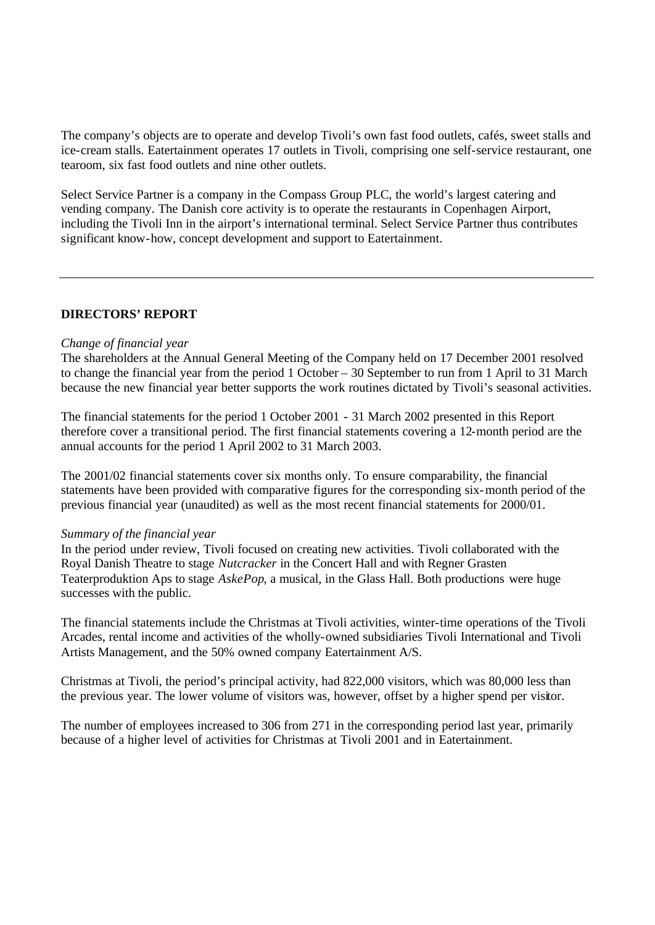The company's objects are to operate and develop Tivoli's own fast food outlets, cafés, sweet stalls and ice-cream stalls. Eatertainment operates 17 outlets in Tivoli, comprising one self-service restaurant, one tearoom, six fast food outlets and nine other outlets.

Select Service Partner is a company in the Compass Group PLC, the world's largest catering and vending company. The Danish core activity is to operate the restaurants in Copenhagen Airport, including the Tivoli Inn in the airport's international terminal. Select Service Partner thus contributes significant know-how, concept development and support to Eatertainment.

## **DIRECTORS' REPORT**

### *Change of financial year*

The shareholders at the Annual General Meeting of the Company held on 17 December 2001 resolved to change the financial year from the period 1 October – 30 September to run from 1 April to 31 March because the new financial year better supports the work routines dictated by Tivoli's seasonal activities.

The financial statements for the period 1 October 2001 - 31 March 2002 presented in this Report therefore cover a transitional period. The first financial statements covering a 12-month period are the annual accounts for the period 1 April 2002 to 31 March 2003.

The 2001/02 financial statements cover six months only. To ensure comparability, the financial statements have been provided with comparative figures for the corresponding six-month period of the previous financial year (unaudited) as well as the most recent financial statements for 2000/01.

#### *Summary of the financial year*

In the period under review, Tivoli focused on creating new activities. Tivoli collaborated with the Royal Danish Theatre to stage *Nutcracker* in the Concert Hall and with Regner Grasten Teaterproduktion Aps to stage *AskePop*, a musical, in the Glass Hall. Both productions were huge successes with the public.

The financial statements include the Christmas at Tivoli activities, winter-time operations of the Tivoli Arcades, rental income and activities of the wholly-owned subsidiaries Tivoli International and Tivoli Artists Management, and the 50% owned company Eatertainment A/S.

Christmas at Tivoli, the period's principal activity, had 822,000 visitors, which was 80,000 less than the previous year. The lower volume of visitors was, however, offset by a higher spend per visitor.

The number of employees increased to 306 from 271 in the corresponding period last year, primarily because of a higher level of activities for Christmas at Tivoli 2001 and in Eatertainment.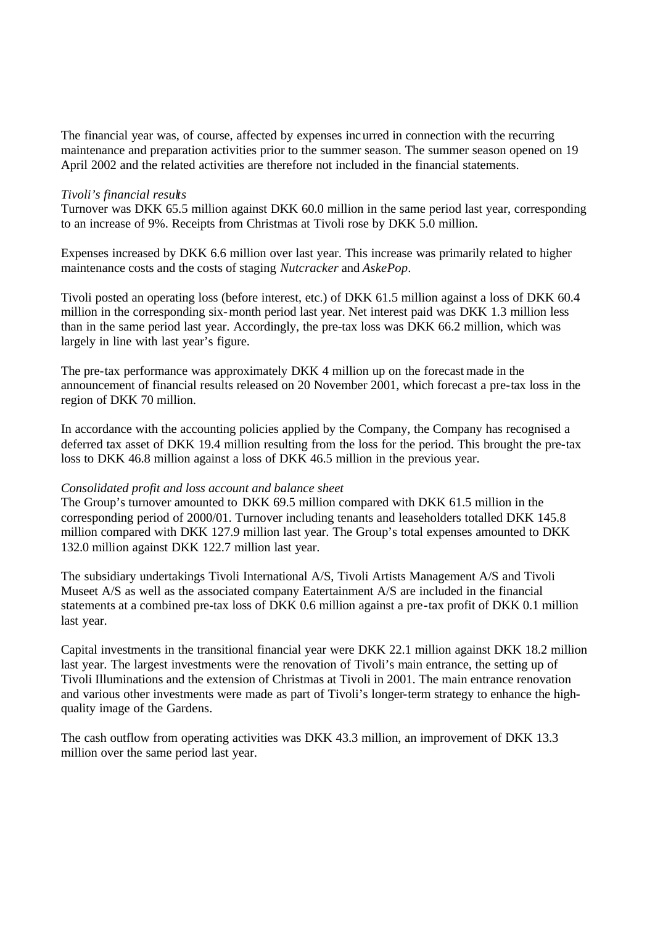The financial year was, of course, affected by expenses incurred in connection with the recurring maintenance and preparation activities prior to the summer season. The summer season opened on 19 April 2002 and the related activities are therefore not included in the financial statements.

#### *Tivoli's financial results*

Turnover was DKK 65.5 million against DKK 60.0 million in the same period last year, corresponding to an increase of 9%. Receipts from Christmas at Tivoli rose by DKK 5.0 million.

Expenses increased by DKK 6.6 million over last year. This increase was primarily related to higher maintenance costs and the costs of staging *Nutcracker* and *AskePop*.

Tivoli posted an operating loss (before interest, etc.) of DKK 61.5 million against a loss of DKK 60.4 million in the corresponding six-month period last year. Net interest paid was DKK 1.3 million less than in the same period last year. Accordingly, the pre-tax loss was DKK 66.2 million, which was largely in line with last year's figure.

The pre-tax performance was approximately DKK 4 million up on the forecast made in the announcement of financial results released on 20 November 2001, which forecast a pre-tax loss in the region of DKK 70 million.

In accordance with the accounting policies applied by the Company, the Company has recognised a deferred tax asset of DKK 19.4 million resulting from the loss for the period. This brought the pre-tax loss to DKK 46.8 million against a loss of DKK 46.5 million in the previous year.

#### *Consolidated profit and loss account and balance sheet*

The Group's turnover amounted to DKK 69.5 million compared with DKK 61.5 million in the corresponding period of 2000/01. Turnover including tenants and leaseholders totalled DKK 145.8 million compared with DKK 127.9 million last year. The Group's total expenses amounted to DKK 132.0 million against DKK 122.7 million last year.

The subsidiary undertakings Tivoli International A/S, Tivoli Artists Management A/S and Tivoli Museet A/S as well as the associated company Eatertainment A/S are included in the financial statements at a combined pre-tax loss of DKK 0.6 million against a pre-tax profit of DKK 0.1 million last year.

Capital investments in the transitional financial year were DKK 22.1 million against DKK 18.2 million last year. The largest investments were the renovation of Tivoli's main entrance, the setting up of Tivoli Illuminations and the extension of Christmas at Tivoli in 2001. The main entrance renovation and various other investments were made as part of Tivoli's longer-term strategy to enhance the highquality image of the Gardens.

The cash outflow from operating activities was DKK 43.3 million, an improvement of DKK 13.3 million over the same period last year.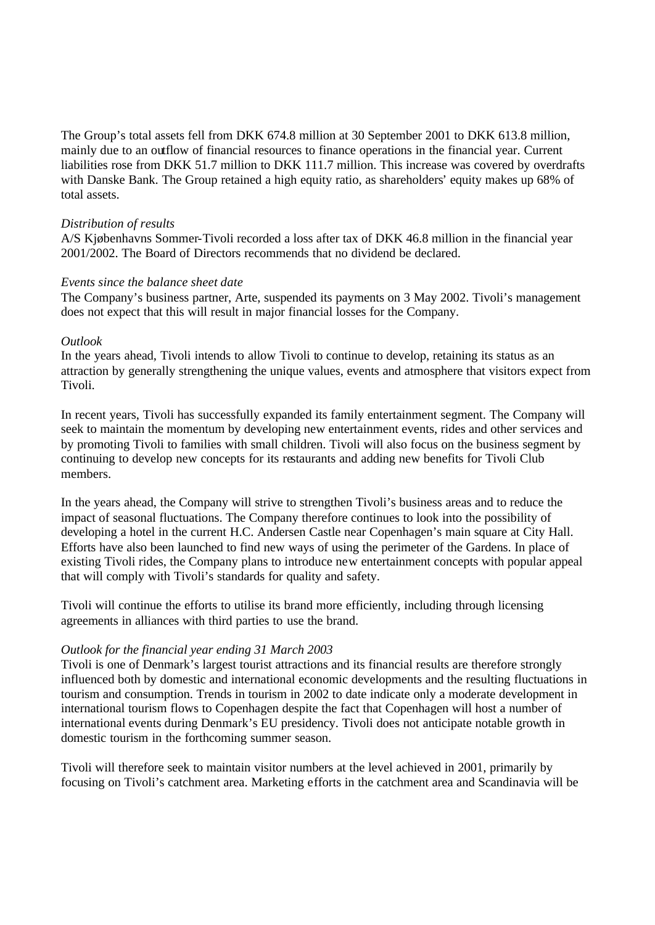The Group's total assets fell from DKK 674.8 million at 30 September 2001 to DKK 613.8 million, mainly due to an outflow of financial resources to finance operations in the financial year. Current liabilities rose from DKK 51.7 million to DKK 111.7 million. This increase was covered by overdrafts with Danske Bank. The Group retained a high equity ratio, as shareholders' equity makes up 68% of total assets.

#### *Distribution of results*

A/S Kjøbenhavns Sommer-Tivoli recorded a loss after tax of DKK 46.8 million in the financial year 2001/2002. The Board of Directors recommends that no dividend be declared.

## *Events since the balance sheet date*

The Company's business partner, Arte, suspended its payments on 3 May 2002. Tivoli's management does not expect that this will result in major financial losses for the Company.

### *Outlook*

In the years ahead, Tivoli intends to allow Tivoli to continue to develop, retaining its status as an attraction by generally strengthening the unique values, events and atmosphere that visitors expect from Tivoli.

In recent years, Tivoli has successfully expanded its family entertainment segment. The Company will seek to maintain the momentum by developing new entertainment events, rides and other services and by promoting Tivoli to families with small children. Tivoli will also focus on the business segment by continuing to develop new concepts for its restaurants and adding new benefits for Tivoli Club members.

In the years ahead, the Company will strive to strengthen Tivoli's business areas and to reduce the impact of seasonal fluctuations. The Company therefore continues to look into the possibility of developing a hotel in the current H.C. Andersen Castle near Copenhagen's main square at City Hall. Efforts have also been launched to find new ways of using the perimeter of the Gardens. In place of existing Tivoli rides, the Company plans to introduce new entertainment concepts with popular appeal that will comply with Tivoli's standards for quality and safety.

Tivoli will continue the efforts to utilise its brand more efficiently, including through licensing agreements in alliances with third parties to use the brand.

## *Outlook for the financial year ending 31 March 2003*

Tivoli is one of Denmark's largest tourist attractions and its financial results are therefore strongly influenced both by domestic and international economic developments and the resulting fluctuations in tourism and consumption. Trends in tourism in 2002 to date indicate only a moderate development in international tourism flows to Copenhagen despite the fact that Copenhagen will host a number of international events during Denmark's EU presidency. Tivoli does not anticipate notable growth in domestic tourism in the forthcoming summer season.

Tivoli will therefore seek to maintain visitor numbers at the level achieved in 2001, primarily by focusing on Tivoli's catchment area. Marketing efforts in the catchment area and Scandinavia will be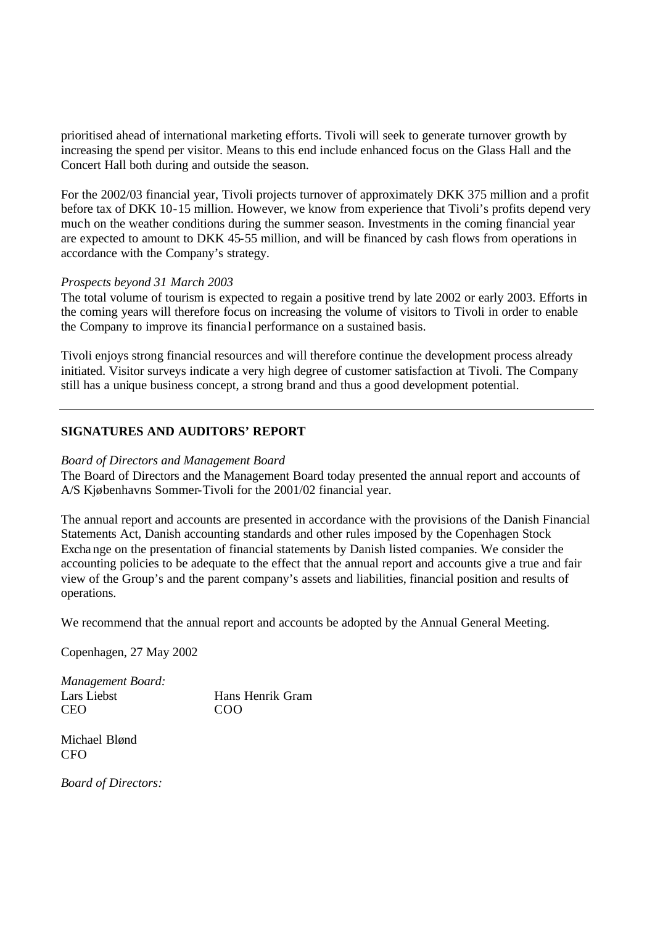prioritised ahead of international marketing efforts. Tivoli will seek to generate turnover growth by increasing the spend per visitor. Means to this end include enhanced focus on the Glass Hall and the Concert Hall both during and outside the season.

For the 2002/03 financial year, Tivoli projects turnover of approximately DKK 375 million and a profit before tax of DKK 10-15 million. However, we know from experience that Tivoli's profits depend very much on the weather conditions during the summer season. Investments in the coming financial year are expected to amount to DKK 45-55 million, and will be financed by cash flows from operations in accordance with the Company's strategy.

### *Prospects beyond 31 March 2003*

The total volume of tourism is expected to regain a positive trend by late 2002 or early 2003. Efforts in the coming years will therefore focus on increasing the volume of visitors to Tivoli in order to enable the Company to improve its financia l performance on a sustained basis.

Tivoli enjoys strong financial resources and will therefore continue the development process already initiated. Visitor surveys indicate a very high degree of customer satisfaction at Tivoli. The Company still has a unique business concept, a strong brand and thus a good development potential.

## **SIGNATURES AND AUDITORS' REPORT**

#### *Board of Directors and Management Board*

The Board of Directors and the Management Board today presented the annual report and accounts of A/S Kjøbenhavns Sommer-Tivoli for the 2001/02 financial year.

The annual report and accounts are presented in accordance with the provisions of the Danish Financial Statements Act, Danish accounting standards and other rules imposed by the Copenhagen Stock Excha nge on the presentation of financial statements by Danish listed companies. We consider the accounting policies to be adequate to the effect that the annual report and accounts give a true and fair view of the Group's and the parent company's assets and liabilities, financial position and results of operations.

We recommend that the annual report and accounts be adopted by the Annual General Meeting.

Copenhagen, 27 May 2002

*Management Board:* Lars Liebst Hans Henrik Gram CEO COO

Michael Blønd **CFO** 

*Board of Directors:*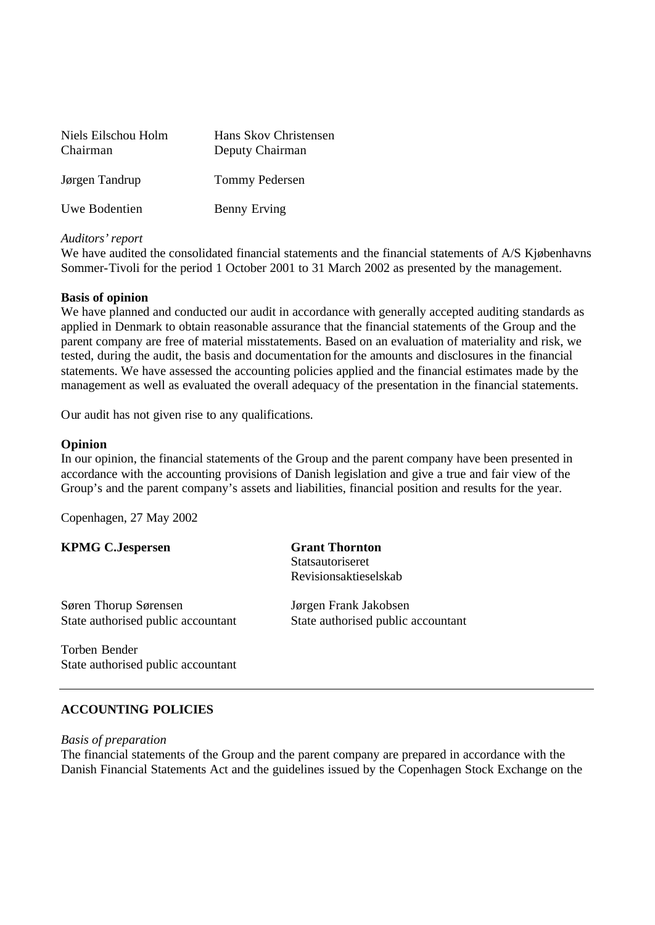| Niels Eilschou Holm<br>Chairman | Hans Skov Christensen<br>Deputy Chairman |  |  |
|---------------------------------|------------------------------------------|--|--|
| Jørgen Tandrup                  | Tommy Pedersen                           |  |  |
| Uwe Bodentien                   | <b>Benny Erving</b>                      |  |  |

### *Auditors' report*

We have audited the consolidated financial statements and the financial statements of A/S Kjøbenhavns Sommer-Tivoli for the period 1 October 2001 to 31 March 2002 as presented by the management.

### **Basis of opinion**

We have planned and conducted our audit in accordance with generally accepted auditing standards as applied in Denmark to obtain reasonable assurance that the financial statements of the Group and the parent company are free of material misstatements. Based on an evaluation of materiality and risk, we tested, during the audit, the basis and documentation for the amounts and disclosures in the financial statements. We have assessed the accounting policies applied and the financial estimates made by the management as well as evaluated the overall adequacy of the presentation in the financial statements.

Our audit has not given rise to any qualifications.

### **Opinion**

In our opinion, the financial statements of the Group and the parent company have been presented in accordance with the accounting provisions of Danish legislation and give a true and fair view of the Group's and the parent company's assets and liabilities, financial position and results for the year.

Copenhagen, 27 May 2002

|  | <b>KPMG C.Jespersen</b> |
|--|-------------------------|
|--|-------------------------|

**Grant Thornton Statsautoriseret** Revisionsaktieselskab

Søren Thorup Sørensen Jørgen Frank Jakobsen State authorised public accountant State authorised public accountant

Torben Bender State authorised public accountant

## **ACCOUNTING POLICIES**

#### *Basis of preparation*

The financial statements of the Group and the parent company are prepared in accordance with the Danish Financial Statements Act and the guidelines issued by the Copenhagen Stock Exchange on the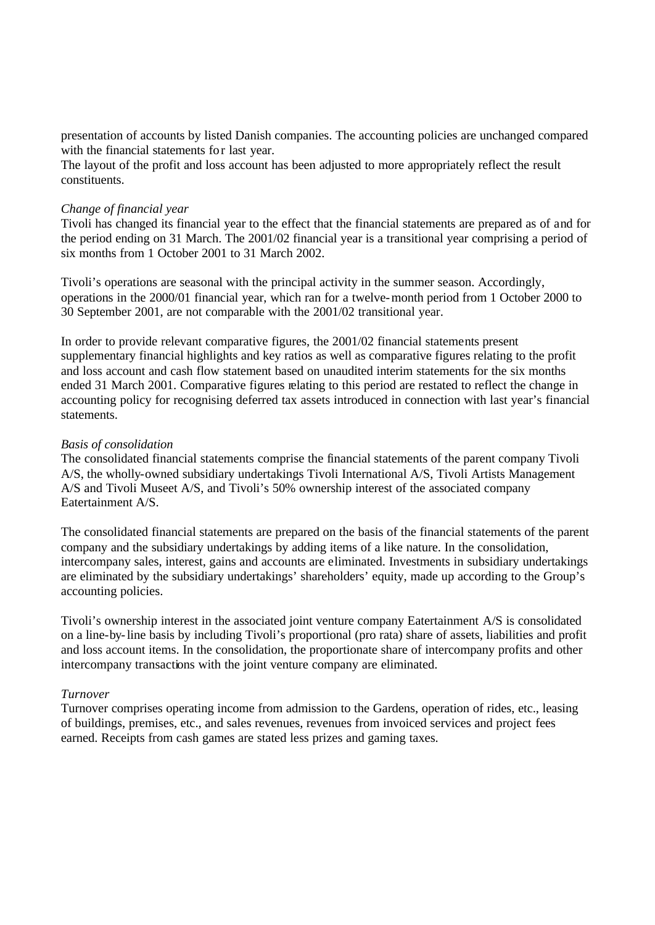presentation of accounts by listed Danish companies. The accounting policies are unchanged compared with the financial statements for last year.

The layout of the profit and loss account has been adjusted to more appropriately reflect the result constituents.

#### *Change of financial year*

Tivoli has changed its financial year to the effect that the financial statements are prepared as of and for the period ending on 31 March. The 2001/02 financial year is a transitional year comprising a period of six months from 1 October 2001 to 31 March 2002.

Tivoli's operations are seasonal with the principal activity in the summer season. Accordingly, operations in the 2000/01 financial year, which ran for a twelve-month period from 1 October 2000 to 30 September 2001, are not comparable with the 2001/02 transitional year.

In order to provide relevant comparative figures, the 2001/02 financial statements present supplementary financial highlights and key ratios as well as comparative figures relating to the profit and loss account and cash flow statement based on unaudited interim statements for the six months ended 31 March 2001. Comparative figures relating to this period are restated to reflect the change in accounting policy for recognising deferred tax assets introduced in connection with last year's financial statements.

### *Basis of consolidation*

The consolidated financial statements comprise the financial statements of the parent company Tivoli A/S, the wholly-owned subsidiary undertakings Tivoli International A/S, Tivoli Artists Management A/S and Tivoli Museet A/S, and Tivoli's 50% ownership interest of the associated company Eatertainment A/S.

The consolidated financial statements are prepared on the basis of the financial statements of the parent company and the subsidiary undertakings by adding items of a like nature. In the consolidation, intercompany sales, interest, gains and accounts are eliminated. Investments in subsidiary undertakings are eliminated by the subsidiary undertakings' shareholders' equity, made up according to the Group's accounting policies.

Tivoli's ownership interest in the associated joint venture company Eatertainment A/S is consolidated on a line-by-line basis by including Tivoli's proportional (pro rata) share of assets, liabilities and profit and loss account items. In the consolidation, the proportionate share of intercompany profits and other intercompany transactions with the joint venture company are eliminated.

## *Turnover*

Turnover comprises operating income from admission to the Gardens, operation of rides, etc., leasing of buildings, premises, etc., and sales revenues, revenues from invoiced services and project fees earned. Receipts from cash games are stated less prizes and gaming taxes.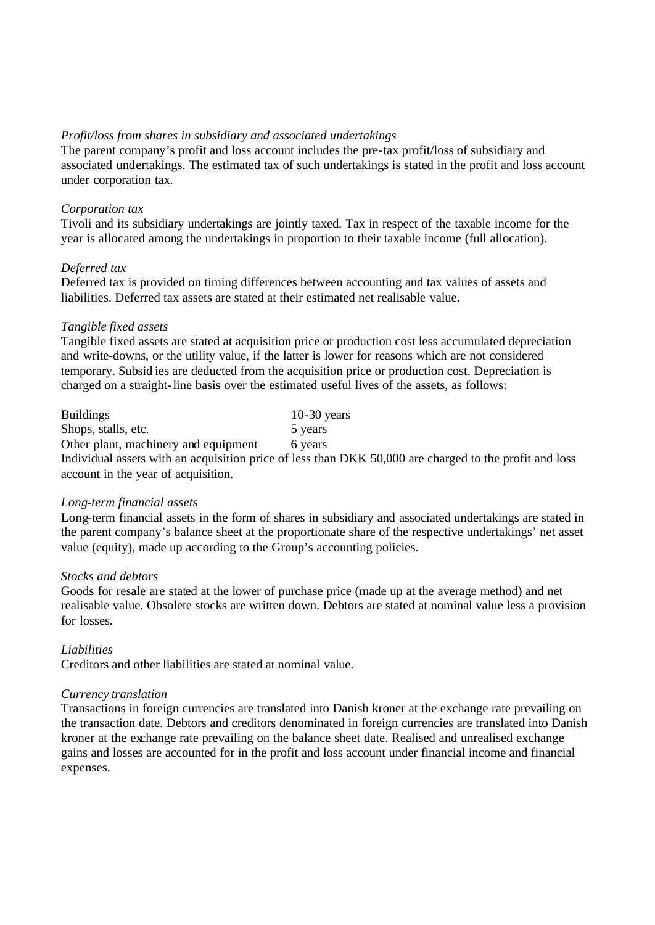### *Profit/loss from shares in subsidiary and associated undertakings*

The parent company's profit and loss account includes the pre-tax profit/loss of subsidiary and associated undertakings. The estimated tax of such undertakings is stated in the profit and loss account under corporation tax.

### *Corporation tax*

Tivoli and its subsidiary undertakings are jointly taxed. Tax in respect of the taxable income for the year is allocated among the undertakings in proportion to their taxable income (full allocation).

## *Deferred tax*

Deferred tax is provided on timing differences between accounting and tax values of assets and liabilities. Deferred tax assets are stated at their estimated net realisable value.

### *Tangible fixed assets*

Tangible fixed assets are stated at acquisition price or production cost less accumulated depreciation and write-downs, or the utility value, if the latter is lower for reasons which are not considered temporary. Subsid ies are deducted from the acquisition price or production cost. Depreciation is charged on a straight-line basis over the estimated useful lives of the assets, as follows:

| <b>Buildings</b>                     | $10-30$ years |
|--------------------------------------|---------------|
| Shops, stalls, etc.                  | 5 years       |
| Other plant, machinery and equipment | 6 years       |

Individual assets with an acquisition price of less than DKK 50,000 are charged to the profit and loss account in the year of acquisition.

#### *Long-term financial assets*

Long-term financial assets in the form of shares in subsidiary and associated undertakings are stated in the parent company's balance sheet at the proportionate share of the respective undertakings' net asset value (equity), made up according to the Group's accounting policies.

#### *Stocks and debtors*

Goods for resale are stated at the lower of purchase price (made up at the average method) and net realisable value. Obsolete stocks are written down. Debtors are stated at nominal value less a provision for losses.

## *Liabilities*

Creditors and other liabilities are stated at nominal value.

## *Currency translation*

Transactions in foreign currencies are translated into Danish kroner at the exchange rate prevailing on the transaction date. Debtors and creditors denominated in foreign currencies are translated into Danish kroner at the exchange rate prevailing on the balance sheet date. Realised and unrealised exchange gains and losses are accounted for in the profit and loss account under financial income and financial expenses.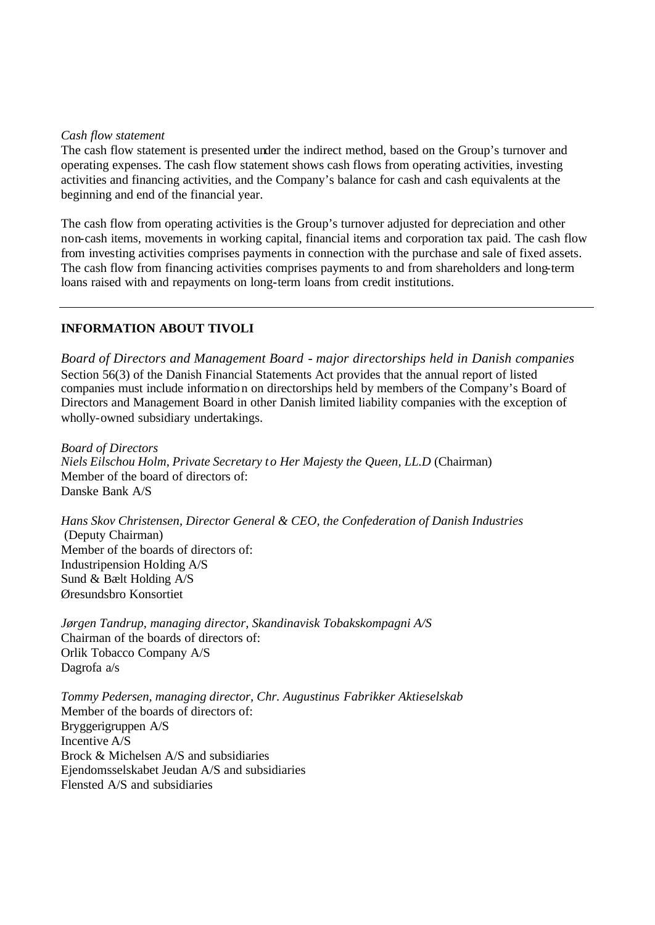### *Cash flow statement*

The cash flow statement is presented under the indirect method, based on the Group's turnover and operating expenses. The cash flow statement shows cash flows from operating activities, investing activities and financing activities, and the Company's balance for cash and cash equivalents at the beginning and end of the financial year.

The cash flow from operating activities is the Group's turnover adjusted for depreciation and other non-cash items, movements in working capital, financial items and corporation tax paid. The cash flow from investing activities comprises payments in connection with the purchase and sale of fixed assets. The cash flow from financing activities comprises payments to and from shareholders and long-term loans raised with and repayments on long-term loans from credit institutions.

## **INFORMATION ABOUT TIVOLI**

*Board of Directors and Management Board - major directorships held in Danish companies* Section 56(3) of the Danish Financial Statements Act provides that the annual report of listed companies must include information on directorships held by members of the Company's Board of Directors and Management Board in other Danish limited liability companies with the exception of wholly-owned subsidiary undertakings.

*Board of Directors Niels Eilschou Holm, Private Secretary t o Her Majesty the Queen, LL.D* (Chairman) Member of the board of directors of: Danske Bank A/S

*Hans Skov Christensen, Director General & CEO, the Confederation of Danish Industries* (Deputy Chairman) Member of the boards of directors of: Industripension Holding A/S Sund & Bælt Holding A/S Øresundsbro Konsortiet

*Jørgen Tandrup, managing director, Skandinavisk Tobakskompagni A/S*  Chairman of the boards of directors of: Orlik Tobacco Company A/S Dagrofa a/s

*Tommy Pedersen, managing director, Chr. Augustinus Fabrikker Aktieselskab* Member of the boards of directors of: Bryggerigruppen A/S Incentive A/S Brock & Michelsen A/S and subsidiaries Ejendomsselskabet Jeudan A/S and subsidiaries Flensted A/S and subsidiaries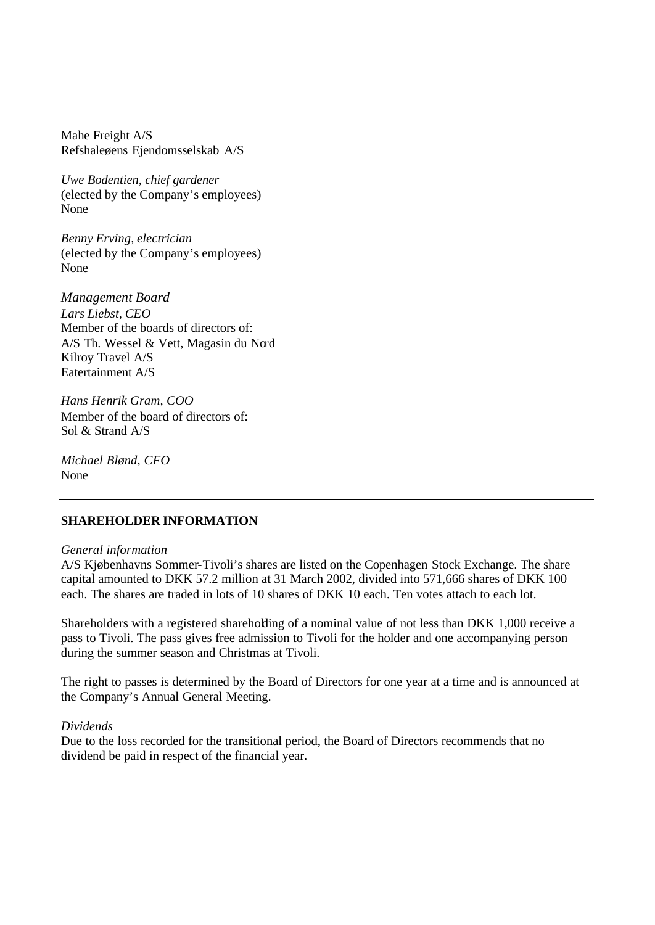Mahe Freight A/S Refshaleøens Ejendomsselskab A/S

*Uwe Bodentien, chief gardener* (elected by the Company's employees) None

*Benny Erving, electrician* (elected by the Company's employees) None

*Management Board Lars Liebst, CEO* Member of the boards of directors of: A/S Th. Wessel & Vett, Magasin du Nord Kilroy Travel A/S Eatertainment A/S

*Hans Henrik Gram, COO* Member of the board of directors of: Sol & Strand A/S

*Michael Blønd, CFO* None

#### **SHAREHOLDER INFORMATION**

#### *General information*

A/S Kjøbenhavns Sommer-Tivoli's shares are listed on the Copenhagen Stock Exchange. The share capital amounted to DKK 57.2 million at 31 March 2002, divided into 571,666 shares of DKK 100 each. The shares are traded in lots of 10 shares of DKK 10 each. Ten votes attach to each lot.

Shareholders with a registered shareholding of a nominal value of not less than DKK 1,000 receive a pass to Tivoli. The pass gives free admission to Tivoli for the holder and one accompanying person during the summer season and Christmas at Tivoli.

The right to passes is determined by the Board of Directors for one year at a time and is announced at the Company's Annual General Meeting.

#### *Dividends*

Due to the loss recorded for the transitional period, the Board of Directors recommends that no dividend be paid in respect of the financial year.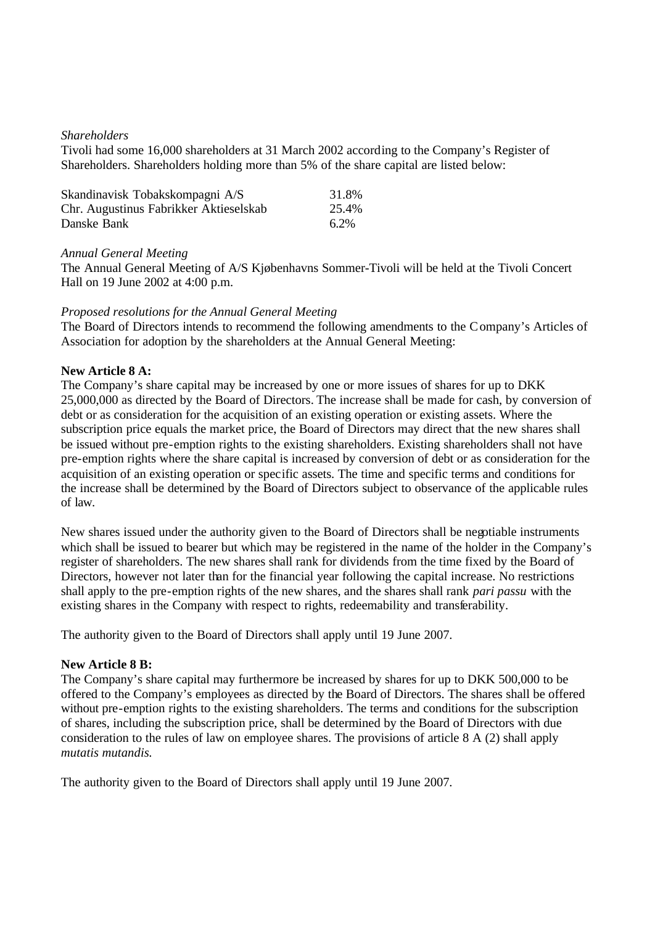### *Shareholders*

Tivoli had some 16,000 shareholders at 31 March 2002 according to the Company's Register of Shareholders. Shareholders holding more than 5% of the share capital are listed below:

| Skandinavisk Tobakskompagni A/S        | 31.8% |
|----------------------------------------|-------|
| Chr. Augustinus Fabrikker Aktieselskab | 25.4% |
| Danske Bank                            | 6.2%  |

#### *Annual General Meeting*

The Annual General Meeting of A/S Kjøbenhavns Sommer-Tivoli will be held at the Tivoli Concert Hall on 19 June 2002 at 4:00 p.m.

### *Proposed resolutions for the Annual General Meeting*

The Board of Directors intends to recommend the following amendments to the Company's Articles of Association for adoption by the shareholders at the Annual General Meeting:

### **New Article 8 A:**

The Company's share capital may be increased by one or more issues of shares for up to DKK 25,000,000 as directed by the Board of Directors. The increase shall be made for cash, by conversion of debt or as consideration for the acquisition of an existing operation or existing assets. Where the subscription price equals the market price, the Board of Directors may direct that the new shares shall be issued without pre-emption rights to the existing shareholders. Existing shareholders shall not have pre-emption rights where the share capital is increased by conversion of debt or as consideration for the acquisition of an existing operation or specific assets. The time and specific terms and conditions for the increase shall be determined by the Board of Directors subject to observance of the applicable rules of law.

New shares issued under the authority given to the Board of Directors shall be negotiable instruments which shall be issued to bearer but which may be registered in the name of the holder in the Company's register of shareholders. The new shares shall rank for dividends from the time fixed by the Board of Directors, however not later than for the financial year following the capital increase. No restrictions shall apply to the pre-emption rights of the new shares, and the shares shall rank *pari passu* with the existing shares in the Company with respect to rights, redeemability and transferability.

The authority given to the Board of Directors shall apply until 19 June 2007.

#### **New Article 8 B:**

The Company's share capital may furthermore be increased by shares for up to DKK 500,000 to be offered to the Company's employees as directed by the Board of Directors. The shares shall be offered without pre-emption rights to the existing shareholders. The terms and conditions for the subscription of shares, including the subscription price, shall be determined by the Board of Directors with due consideration to the rules of law on employee shares. The provisions of article 8 A (2) shall apply *mutatis mutandis.*

The authority given to the Board of Directors shall apply until 19 June 2007.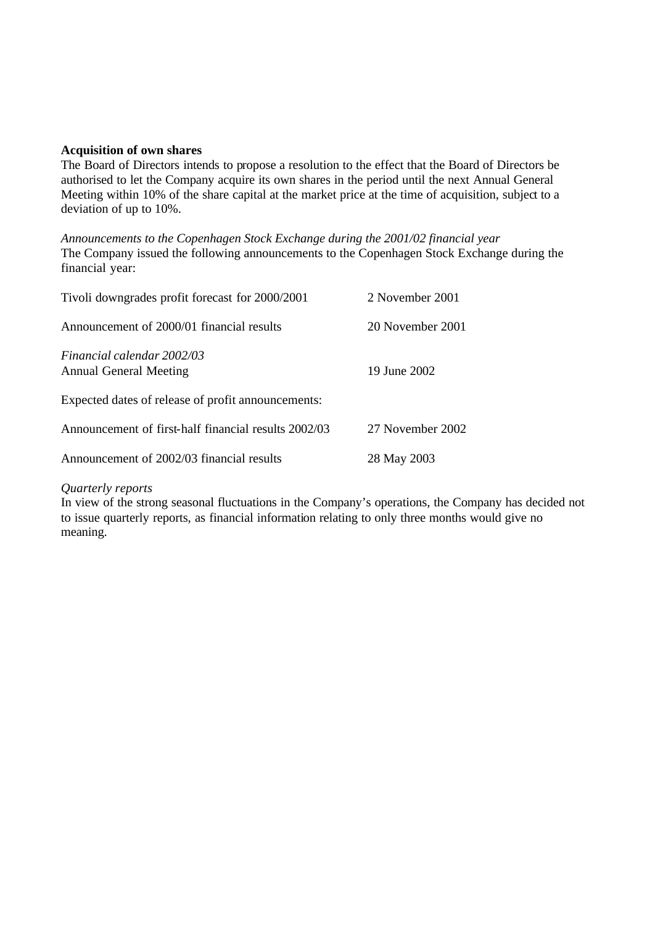### **Acquisition of own shares**

The Board of Directors intends to propose a resolution to the effect that the Board of Directors be authorised to let the Company acquire its own shares in the period until the next Annual General Meeting within 10% of the share capital at the market price at the time of acquisition, subject to a deviation of up to 10%.

*Announcements to the Copenhagen Stock Exchange during the 2001/02 financial year* The Company issued the following announcements to the Copenhagen Stock Exchange during the financial year:

| Tivoli downgrades profit forecast for 2000/2001             | 2 November 2001  |
|-------------------------------------------------------------|------------------|
| Announcement of 2000/01 financial results                   | 20 November 2001 |
| Financial calendar 2002/03<br><b>Annual General Meeting</b> | 19 June 2002     |
| Expected dates of release of profit announcements:          |                  |
| Announcement of first-half financial results 2002/03        | 27 November 2002 |
| Announcement of 2002/03 financial results                   | 28 May 2003      |

#### *Quarterly reports*

In view of the strong seasonal fluctuations in the Company's operations, the Company has decided not to issue quarterly reports, as financial information relating to only three months would give no meaning.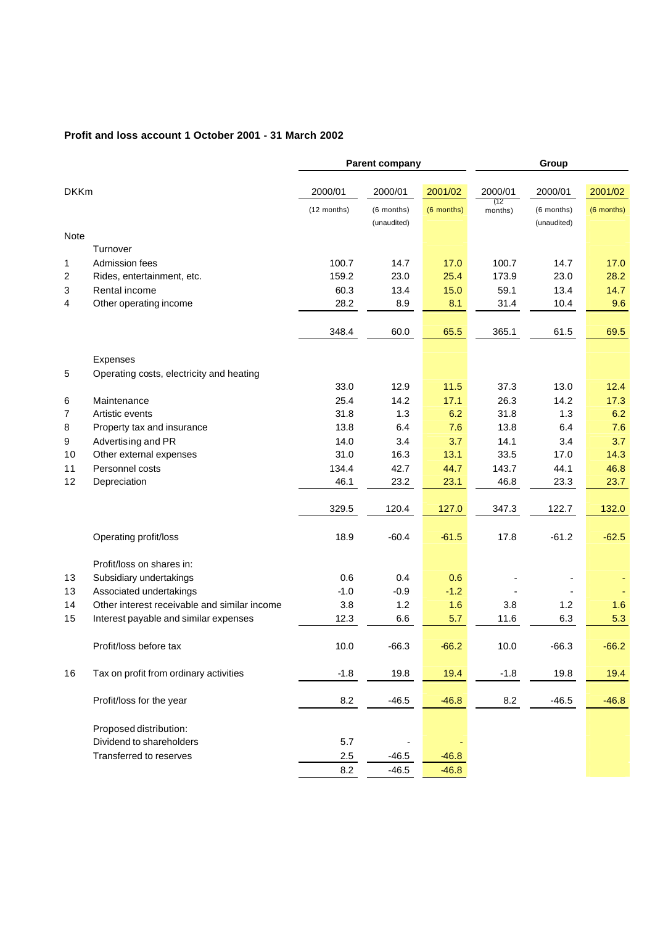### **Profit and loss account 1 October 2001 - 31 March 2002**

|             |                                                  |              | <b>Parent company</b>     |            | Group          |                           |            |
|-------------|--------------------------------------------------|--------------|---------------------------|------------|----------------|---------------------------|------------|
| <b>DKKm</b> |                                                  | 2000/01      | 2000/01                   | 2001/02    | 2000/01        | 2001/02<br>2000/01        |            |
|             |                                                  | (12 months)  | (6 months)<br>(unaudited) | (6 months) | (12<br>months) | (6 months)<br>(unaudited) | (6 months) |
| <b>Note</b> |                                                  |              |                           |            |                |                           |            |
|             | Turnover                                         |              |                           |            |                |                           |            |
| 1           | Admission fees                                   | 100.7        | 14.7                      | 17.0       | 100.7          | 14.7                      | 17.0       |
| 2           | Rides, entertainment, etc.                       | 159.2        | 23.0                      | 25.4       | 173.9          | 23.0                      | 28.2       |
| 3           | Rental income                                    | 60.3         | 13.4                      | 15.0       | 59.1           | 13.4                      | 14.7       |
| 4           | Other operating income                           | 28.2         | 8.9                       | 8.1        | 31.4           | 10.4                      | 9.6        |
|             |                                                  | 348.4        | 60.0                      | 65.5       | 365.1          | 61.5                      | 69.5       |
|             |                                                  |              |                           |            |                |                           |            |
|             | Expenses                                         |              |                           |            |                |                           |            |
| 5           | Operating costs, electricity and heating         |              |                           |            |                |                           |            |
|             |                                                  | 33.0         | 12.9                      | 11.5       | 37.3           | 13.0                      | 12.4       |
| 6           | Maintenance                                      | 25.4         | 14.2                      | 17.1       | 26.3           | 14.2                      | 17.3       |
| 7           | Artistic events                                  | 31.8<br>13.8 | 1.3<br>6.4                | 6.2<br>7.6 | 31.8<br>13.8   | 1.3<br>6.4                | 6.2<br>7.6 |
| 8           | Property tax and insurance<br>Advertising and PR | 14.0         | 3.4                       | 3.7        | 14.1           | 3.4                       | 3.7        |
| 9<br>10     | Other external expenses                          | 31.0         | 16.3                      | 13.1       | 33.5           | 17.0                      | 14.3       |
| 11          | Personnel costs                                  | 134.4        | 42.7                      | 44.7       | 143.7          | 44.1                      | 46.8       |
| 12          | Depreciation                                     | 46.1         | 23.2                      | 23.1       | 46.8           | 23.3                      | 23.7       |
|             |                                                  |              |                           |            |                |                           |            |
|             |                                                  | 329.5        | 120.4                     | 127.0      | 347.3          | 122.7                     | 132.0      |
|             | Operating profit/loss                            | 18.9         | $-60.4$                   | $-61.5$    | 17.8           | $-61.2$                   | $-62.5$    |
|             | Profit/loss on shares in:                        |              |                           |            |                |                           |            |
| 13          | Subsidiary undertakings                          | 0.6          | 0.4                       | 0.6        |                |                           |            |
| 13          | Associated undertakings                          | $-1.0$       | $-0.9$                    | $-1.2$     |                |                           |            |
| 14          | Other interest receivable and similar income     | 3.8          | 1.2                       | 1.6        | 3.8            | 1.2                       | 1.6        |
| 15          | Interest payable and similar expenses            | 12.3         | 6.6                       | 5.7        | 11.6           | 6.3                       | 5.3        |
|             | Profit/loss before tax                           | 10.0         | $-66.3$                   | $-66.2$    | 10.0           | $-66.3$                   | $-66.2$    |
| 16          | Tax on profit from ordinary activities           | $-1.8$       | 19.8                      | 19.4       | $-1.8$         | 19.8                      | 19.4       |
|             | Profit/loss for the year                         | 8.2          | $-46.5$                   | $-46.8$    | 8.2            | $-46.5$                   | $-46.8$    |
|             | Proposed distribution:                           |              |                           |            |                |                           |            |
|             | Dividend to shareholders                         | 5.7          |                           |            |                |                           |            |
|             | Transferred to reserves                          | 2.5          | $-46.5$                   | $-46.8$    |                |                           |            |
|             |                                                  | $8.2\,$      | $-46.5$                   | $-46.8$    |                |                           |            |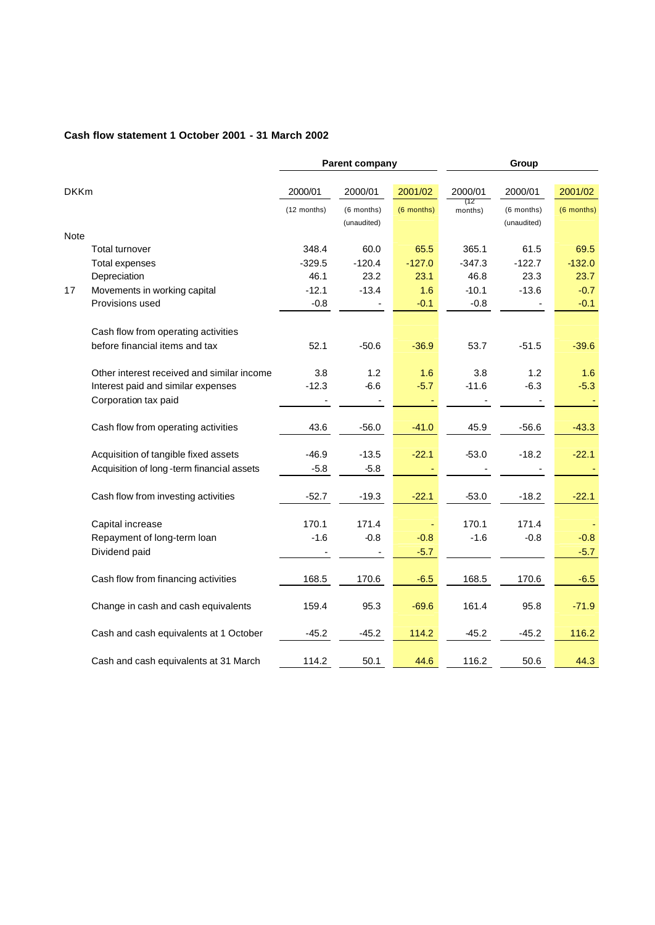### **Cash flow statement 1 October 2001 - 31 March 2002**

|             |                                            | <b>Parent company</b> |                          | Group      |                |                          |            |
|-------------|--------------------------------------------|-----------------------|--------------------------|------------|----------------|--------------------------|------------|
|             |                                            |                       |                          |            |                |                          |            |
| <b>DKKm</b> |                                            | 2000/01               | 2000/01                  | 2001/02    | 2000/01<br>(12 | 2000/01                  | 2001/02    |
|             |                                            | (12 months)           | (6 months)               | (6 months) | months)        | (6 months)               | (6 months) |
|             |                                            |                       | (unaudited)              |            |                | (unaudited)              |            |
| <b>Note</b> |                                            |                       |                          |            |                |                          |            |
|             | Total turnover                             | 348.4                 | 60.0                     | 65.5       | 365.1          | 61.5                     | 69.5       |
|             | <b>Total expenses</b>                      | $-329.5$              | $-120.4$                 | $-127.0$   | $-347.3$       | $-122.7$                 | $-132.0$   |
|             | Depreciation                               | 46.1                  | 23.2                     | 23.1       | 46.8           | 23.3                     | 23.7       |
| 17          | Movements in working capital               | $-12.1$               | $-13.4$                  | 1.6        | $-10.1$        | $-13.6$                  | $-0.7$     |
|             | Provisions used                            | $-0.8$                |                          | $-0.1$     | $-0.8$         |                          | $-0.1$     |
|             | Cash flow from operating activities        |                       |                          |            |                |                          |            |
|             | before financial items and tax             | 52.1                  | $-50.6$                  | $-36.9$    | 53.7           | $-51.5$                  | $-39.6$    |
|             |                                            |                       |                          |            |                |                          |            |
|             | Other interest received and similar income | 3.8                   | 1.2                      | 1.6        | 3.8            | 1.2                      | 1.6        |
|             | Interest paid and similar expenses         | $-12.3$               | $-6.6$                   | $-5.7$     | $-11.6$        | $-6.3$                   | $-5.3$     |
|             | Corporation tax paid                       |                       | $\overline{\phantom{a}}$ |            |                | $\overline{\phantom{a}}$ |            |
|             |                                            |                       |                          |            |                |                          |            |
|             | Cash flow from operating activities        | 43.6                  | $-56.0$                  | $-41.0$    | 45.9           | $-56.6$                  | $-43.3$    |
|             |                                            |                       |                          |            |                |                          |            |
|             | Acquisition of tangible fixed assets       | $-46.9$               | $-13.5$                  | $-22.1$    | $-53.0$        | $-18.2$                  | $-22.1$    |
|             | Acquisition of long-term financial assets  | $-5.8$                | $-5.8$                   |            |                |                          |            |
|             | Cash flow from investing activities        | $-52.7$               | $-19.3$                  | $-22.1$    | $-53.0$        | $-18.2$                  | $-22.1$    |
|             |                                            |                       |                          |            |                |                          |            |
|             | Capital increase                           | 170.1                 | 171.4                    |            | 170.1          | 171.4                    |            |
|             | Repayment of long-term loan                | $-1.6$                | $-0.8$                   | $-0.8$     | $-1.6$         | $-0.8$                   | $-0.8$     |
|             | Dividend paid                              |                       |                          | $-5.7$     |                |                          | $-5.7$     |
|             |                                            |                       |                          |            |                |                          |            |
|             | Cash flow from financing activities        | 168.5                 | 170.6                    | $-6.5$     | 168.5          | 170.6                    | $-6.5$     |
|             | Change in cash and cash equivalents        | 159.4                 | 95.3                     | $-69.6$    | 161.4          | 95.8                     | $-71.9$    |
|             |                                            |                       |                          |            |                |                          |            |
|             | Cash and cash equivalents at 1 October     | $-45.2$               | $-45.2$                  | 114.2      | $-45.2$        | $-45.2$                  | 116.2      |
|             |                                            |                       |                          |            |                |                          |            |
|             | Cash and cash equivalents at 31 March      | 114.2                 | 50.1                     | 44.6       | 116.2          | 50.6                     | 44.3       |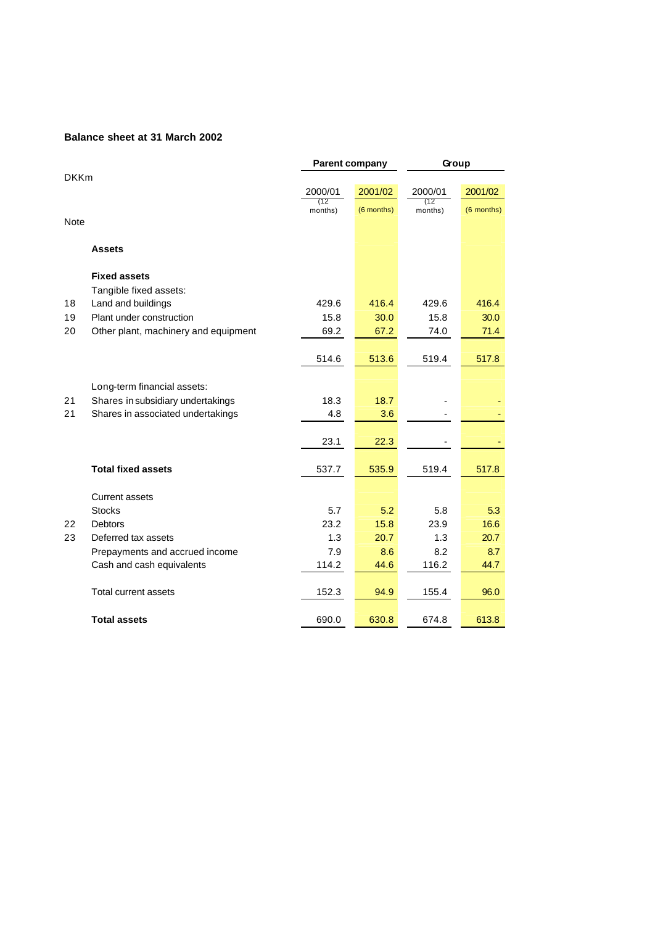#### **Balance sheet at 31 March 2002**

|             |                                                                  | <b>Parent company</b> |            | Group          |            |
|-------------|------------------------------------------------------------------|-----------------------|------------|----------------|------------|
| <b>DKKm</b> |                                                                  |                       |            |                |            |
|             |                                                                  | 2000/01               | 2001/02    | 2000/01        | 2001/02    |
|             |                                                                  | (12<br>months)        | (6 months) | (12<br>months) | (6 months) |
| <b>Note</b> |                                                                  |                       |            |                |            |
|             |                                                                  |                       |            |                |            |
|             | <b>Assets</b>                                                    |                       |            |                |            |
|             | <b>Fixed assets</b>                                              |                       |            |                |            |
|             | Tangible fixed assets:                                           |                       |            |                |            |
| 18          | Land and buildings                                               | 429.6                 | 416.4      | 429.6          | 416.4      |
| 19          | Plant under construction                                         | 15.8                  | 30.0       | 15.8           | 30.0       |
| 20          | Other plant, machinery and equipment                             | 69.2                  | 67.2       | 74.0           | 71.4       |
|             |                                                                  |                       |            |                |            |
|             |                                                                  | 514.6                 | 513.6      | 519.4          | 517.8      |
|             |                                                                  |                       |            |                |            |
| 21          | Long-term financial assets:<br>Shares in subsidiary undertakings | 18.3                  | 18.7       |                |            |
| 21          | Shares in associated undertakings                                | 4.8                   | 3.6        |                |            |
|             |                                                                  |                       |            |                |            |
|             |                                                                  | 23.1                  | 22.3       |                |            |
|             |                                                                  |                       |            |                |            |
|             | <b>Total fixed assets</b>                                        | 537.7                 | 535.9      | 519.4          | 517.8      |
|             | <b>Current assets</b>                                            |                       |            |                |            |
|             | <b>Stocks</b>                                                    | 5.7                   | 5.2        | 5.8            | 5.3        |
| 22          | <b>Debtors</b>                                                   | 23.2                  | 15.8       | 23.9           | 16.6       |
| 23          | Deferred tax assets                                              | 1.3                   | 20.7       | 1.3            | 20.7       |
|             | Prepayments and accrued income                                   | 7.9                   | 8.6        | 8.2            | 8.7        |
|             | Cash and cash equivalents                                        | 114.2                 | 44.6       | 116.2          | 44.7       |
|             |                                                                  |                       |            |                |            |
|             | <b>Total current assets</b>                                      | 152.3                 | 94.9       | 155.4          | 96.0       |
|             | <b>Total assets</b>                                              | 690.0                 | 630.8      | 674.8          | 613.8      |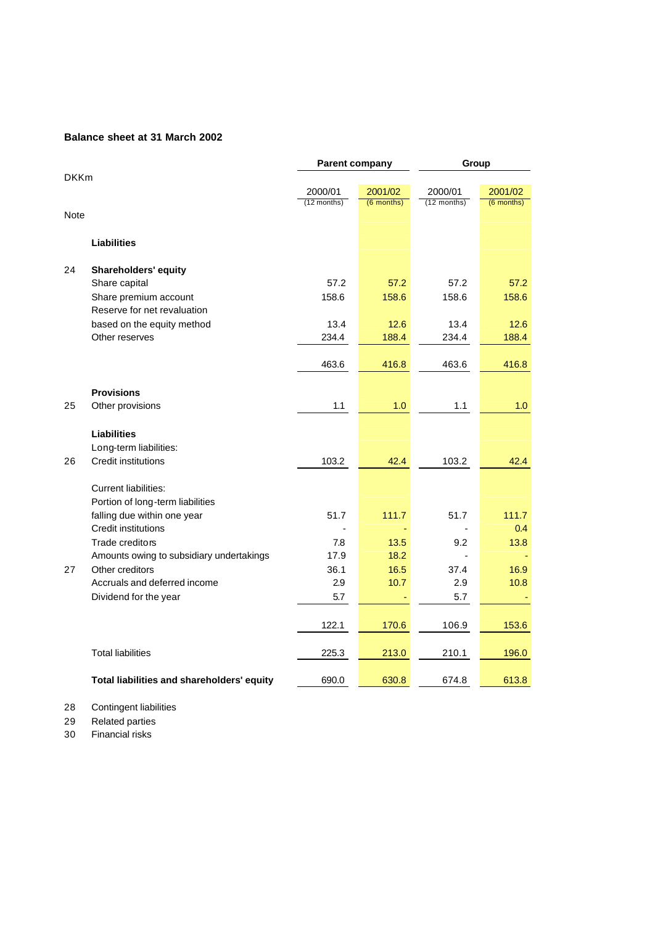#### **Balance sheet at 31 March 2002**

|             |                                            | <b>Parent company</b> |            | Group                 |              |  |
|-------------|--------------------------------------------|-----------------------|------------|-----------------------|--------------|--|
| <b>DKKm</b> |                                            |                       |            |                       |              |  |
|             |                                            | 2000/01               | 2001/02    | 2000/01               | 2001/02      |  |
|             |                                            | (12 months)           | (6 months) | $(12 \text{ months})$ | $(6$ months) |  |
| <b>Note</b> |                                            |                       |            |                       |              |  |
|             | <b>Liabilities</b>                         |                       |            |                       |              |  |
| 24          | <b>Shareholders' equity</b>                |                       |            |                       |              |  |
|             | Share capital                              | 57.2                  | 57.2       | 57.2                  | 57.2         |  |
|             | Share premium account                      | 158.6                 | 158.6      | 158.6                 | 158.6        |  |
|             | Reserve for net revaluation                |                       |            |                       |              |  |
|             | based on the equity method                 | 13.4                  | 12.6       | 13.4                  | 12.6         |  |
|             | Other reserves                             | 234.4                 | 188.4      | 234.4                 | 188.4        |  |
|             |                                            |                       |            |                       |              |  |
|             |                                            | 463.6                 | 416.8      | 463.6                 | 416.8        |  |
|             |                                            |                       |            |                       |              |  |
|             | <b>Provisions</b>                          |                       |            |                       |              |  |
| 25          | Other provisions                           | 1.1                   | 1.0        | 1.1                   | 1.0          |  |
|             |                                            |                       |            |                       |              |  |
|             | <b>Liabilities</b>                         |                       |            |                       |              |  |
|             | Long-term liabilities:                     |                       |            |                       |              |  |
| 26          | <b>Credit institutions</b>                 | 103.2                 | 42.4       | 103.2                 | 42.4         |  |
|             |                                            |                       |            |                       |              |  |
|             | <b>Current liabilities:</b>                |                       |            |                       |              |  |
|             | Portion of long-term liabilities           |                       |            |                       |              |  |
|             | falling due within one year                | 51.7                  | 111.7      | 51.7                  | 111.7        |  |
|             | <b>Credit institutions</b>                 |                       |            |                       | 0.4          |  |
|             | Trade creditors                            | 7.8                   | 13.5       | 9.2                   | 13.8         |  |
|             | Amounts owing to subsidiary undertakings   | 17.9                  | 18.2       |                       |              |  |
| 27          | Other creditors                            | 36.1                  | 16.5       | 37.4                  | 16.9         |  |
|             | Accruals and deferred income               | 2.9                   | 10.7       | 2.9                   | 10.8         |  |
|             | Dividend for the year                      | 5.7                   |            | 5.7                   |              |  |
|             |                                            |                       |            |                       |              |  |
|             |                                            | 122.1                 | 170.6      | 106.9                 | 153.6        |  |
|             |                                            |                       |            |                       |              |  |
|             | <b>Total liabilities</b>                   | 225.3                 | 213.0      | 210.1                 | 196.0        |  |
|             | Total liabilities and shareholders' equity | 690.0                 | 630.8      | 674.8                 | 613.8        |  |

### 28 Contingent liabilities

29 Related parties

30 Financial risks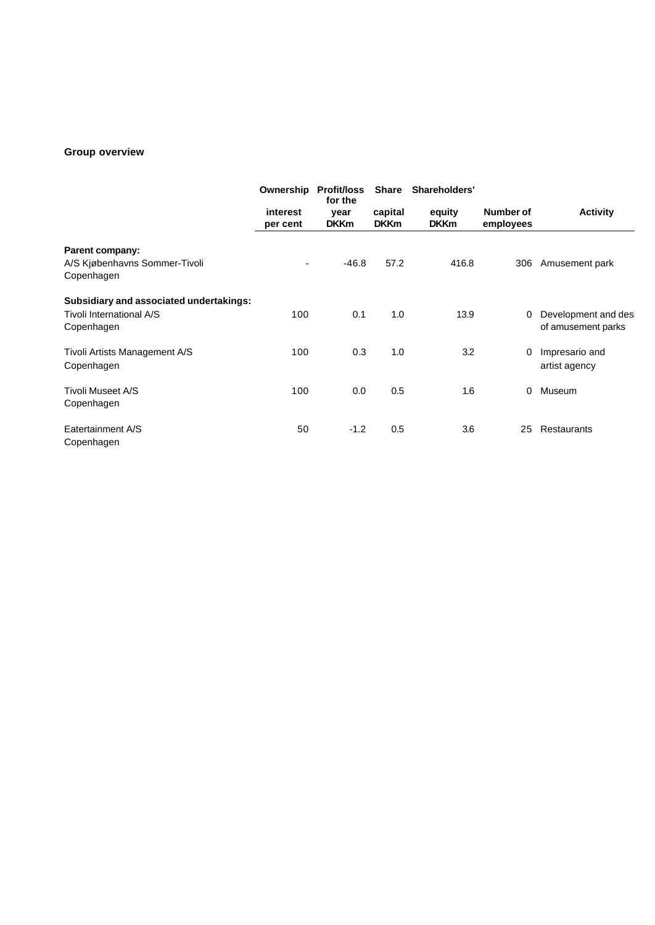### **Group overview**

|                                             | Ownership                | <b>Profit/loss</b><br>for the | <b>Share</b>           | Shareholders'         |                        |                                            |
|---------------------------------------------|--------------------------|-------------------------------|------------------------|-----------------------|------------------------|--------------------------------------------|
|                                             | interest<br>per cent     | year<br><b>DKKm</b>           | capital<br><b>DKKm</b> | equity<br><b>DKKm</b> | Number of<br>employees | <b>Activity</b>                            |
| Parent company:                             |                          |                               |                        |                       |                        |                                            |
| A/S Kjøbenhavns Sommer-Tivoli<br>Copenhagen | $\overline{\phantom{0}}$ | $-46.8$                       | 57.2                   | 416.8                 | 306                    | Amusement park                             |
| Subsidiary and associated undertakings:     |                          |                               |                        |                       |                        |                                            |
| Tivoli International A/S<br>Copenhagen      | 100                      | 0.1                           | 1.0                    | 13.9                  | 0                      | Development and desi<br>of amusement parks |
| Tivoli Artists Management A/S<br>Copenhagen | 100                      | 0.3                           | 1.0                    | 3.2                   | 0                      | Impresario and<br>artist agency            |
| Tivoli Museet A/S<br>Copenhagen             | 100                      | 0.0                           | 0.5                    | 1.6                   | 0                      | Museum                                     |
| Eatertainment A/S<br>Copenhagen             | 50                       | $-1.2$                        | 0.5                    | 3.6                   | 25                     | Restaurants                                |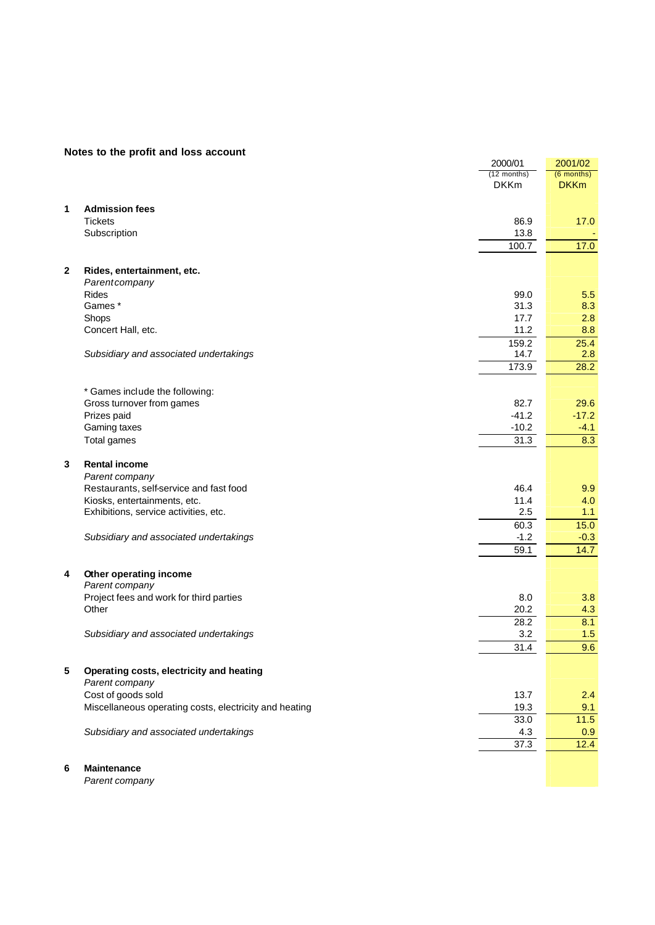|              |                                                             | 2000/01     | 2001/02      |
|--------------|-------------------------------------------------------------|-------------|--------------|
|              |                                                             | (12 months) | $(6$ months) |
|              |                                                             | <b>DKKm</b> | <b>DKKm</b>  |
| 1            | <b>Admission fees</b>                                       |             |              |
|              | <b>Tickets</b>                                              | 86.9        | 17.0         |
|              | Subscription                                                | 13.8        |              |
|              |                                                             | 100.7       | 17.0         |
|              |                                                             |             |              |
| $\mathbf{2}$ | Rides, entertainment, etc.                                  |             |              |
|              | Parentcompany                                               |             |              |
|              | <b>Rides</b>                                                | 99.0        | 5.5          |
|              | Games*                                                      | 31.3        | 8.3          |
|              | Shops                                                       | 17.7        | 2.8          |
|              | Concert Hall, etc.                                          | 11.2        | 8.8          |
|              |                                                             | 159.2       | 25.4         |
|              | Subsidiary and associated undertakings                      | 14.7        | 2.8          |
|              |                                                             | 173.9       | 28.2         |
|              |                                                             |             |              |
|              | * Games include the following:<br>Gross turnover from games | 82.7        | 29.6         |
|              | Prizes paid                                                 | $-41.2$     | $-17.2$      |
|              | Gaming taxes                                                | $-10.2$     | $-4.1$       |
|              | Total games                                                 | 31.3        | 8.3          |
|              |                                                             |             |              |
| 3            | <b>Rental income</b>                                        |             |              |
|              | Parent company                                              |             |              |
|              | Restaurants, self-service and fast food                     | 46.4        | 9.9          |
|              | Kiosks, entertainments, etc.                                | 11.4        | 4.0          |
|              | Exhibitions, service activities, etc.                       | 2.5         | 1.1          |
|              |                                                             | 60.3        | 15.0         |
|              | Subsidiary and associated undertakings                      | $-1.2$      | $-0.3$       |
|              |                                                             | 59.1        | 14.7         |
| 4            | Other operating income                                      |             |              |
|              | Parent company                                              |             |              |
|              | Project fees and work for third parties                     | 8.0         | 3.8          |
|              | Other                                                       | 20.2        | 4.3          |
|              |                                                             | 28.2        | 8.1          |
|              | Subsidiary and associated undertakings                      | 3.2         | 1.5          |
|              |                                                             | 31.4        | 9.6          |
|              |                                                             |             |              |
| 5            | Operating costs, electricity and heating                    |             |              |
|              | Parent company                                              |             |              |
|              | Cost of goods sold                                          | 13.7        | 2.4          |
|              | Miscellaneous operating costs, electricity and heating      | 19.3        | 9.1          |
|              |                                                             | 33.0        | $11.5$       |
|              | Subsidiary and associated undertakings                      | 4.3<br>37.3 | 0.9<br>12.4  |
|              |                                                             |             |              |
|              |                                                             |             |              |

**6 Maintenance** *Parent company*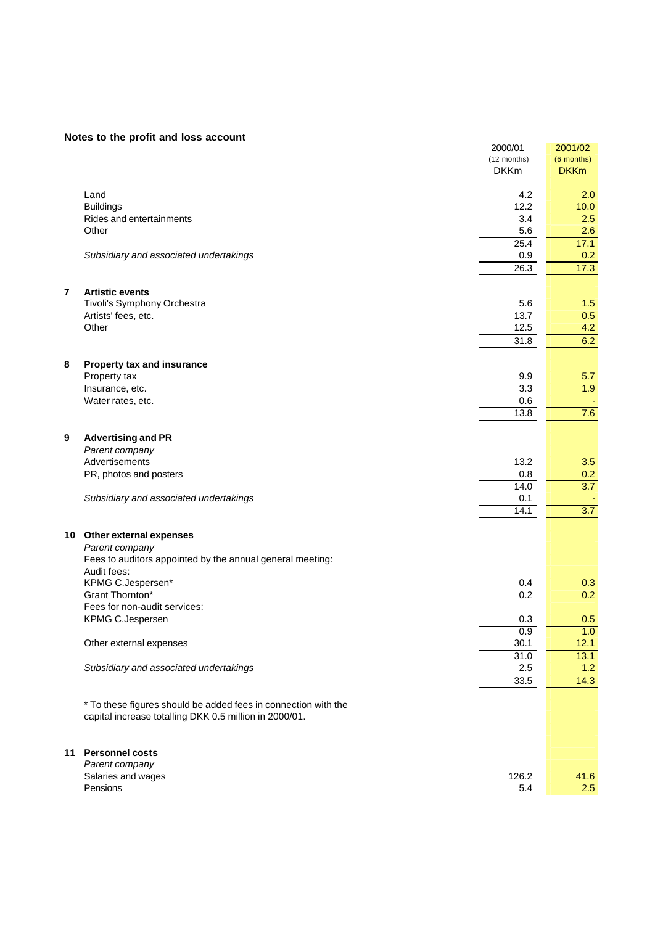|                |                                                                          | 2000/01     | 2001/02     |
|----------------|--------------------------------------------------------------------------|-------------|-------------|
|                |                                                                          | (12 months) | (6 months)  |
|                |                                                                          | <b>DKKm</b> | <b>DKKm</b> |
|                | Land                                                                     | 4.2         | 2.0         |
|                | <b>Buildings</b>                                                         | 12.2        | 10.0        |
|                | Rides and entertainments                                                 | 3.4         | 2.5         |
|                | Other                                                                    | 5.6         | 2.6         |
|                |                                                                          | 25.4        | 17.1        |
|                | Subsidiary and associated undertakings                                   | 0.9         | 0.2         |
|                |                                                                          | 26.3        | 17.3        |
|                |                                                                          |             |             |
| $\overline{7}$ | <b>Artistic events</b>                                                   |             |             |
|                | Tivoli's Symphony Orchestra                                              | 5.6         | 1.5         |
|                | Artists' fees, etc.                                                      | 13.7        | 0.5         |
|                | Other                                                                    | 12.5        | 4.2         |
|                |                                                                          | 31.8        | 6.2         |
|                |                                                                          |             |             |
| 8              | Property tax and insurance<br>Property tax                               | 9.9         | 5.7         |
|                | Insurance, etc.                                                          | 3.3         | 1.9         |
|                | Water rates, etc.                                                        | 0.6         |             |
|                |                                                                          | 13.8        | 7.6         |
|                |                                                                          |             |             |
| 9              | <b>Advertising and PR</b>                                                |             |             |
|                | Parent company                                                           |             |             |
|                | Advertisements                                                           | 13.2        | 3.5         |
|                | PR, photos and posters                                                   | 0.8         | 0.2         |
|                |                                                                          | 14.0        | 3.7         |
|                | Subsidiary and associated undertakings                                   | 0.1         |             |
|                |                                                                          | 14.1        | 3.7         |
|                |                                                                          |             |             |
|                | 10 Other external expenses                                               |             |             |
|                | Parent company                                                           |             |             |
|                | Fees to auditors appointed by the annual general meeting:<br>Audit fees: |             |             |
|                | KPMG C.Jespersen*                                                        | 0.4         | 0.3         |
|                | Grant Thornton*                                                          | 0.2         | 0.2         |
|                | Fees for non-audit services:                                             |             |             |
|                | KPMG C.Jespersen                                                         | 0.3         | 0.5         |
|                |                                                                          | 0.9         | 1.0         |
|                | Other external expenses                                                  | 30.1        | 12.1        |
|                |                                                                          | 31.0        | 13.1        |
|                | Subsidiary and associated undertakings                                   | 2.5         | 1.2         |
|                |                                                                          | 33.5        | 14.3        |
|                |                                                                          |             |             |
|                | * To these figures should be added fees in connection with the           |             |             |
|                | capital increase totalling DKK 0.5 million in 2000/01.                   |             |             |
|                |                                                                          |             |             |
| 11             | <b>Personnel costs</b>                                                   |             |             |
|                | Parent company                                                           |             |             |
|                | Salaries and wages                                                       | 126.2       | 41.6        |
|                | Pensions                                                                 | 5.4         | 2.5         |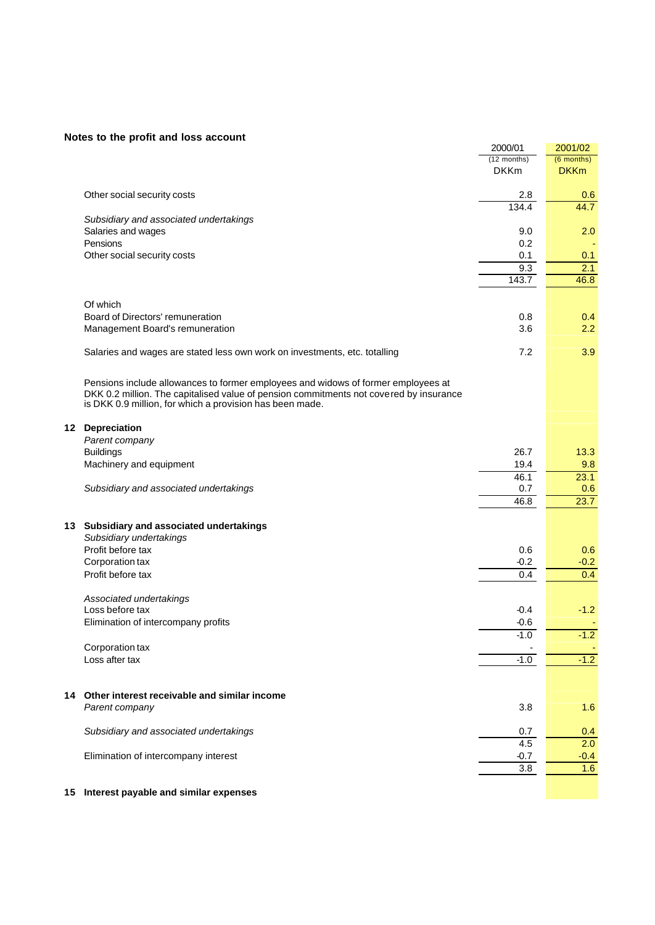|    |                                                                                        | 2000/01       | 2001/02      |
|----|----------------------------------------------------------------------------------------|---------------|--------------|
|    |                                                                                        | $(12$ months) | $(6$ months) |
|    |                                                                                        | <b>DKKm</b>   | <b>DKKm</b>  |
|    |                                                                                        |               |              |
|    | Other social security costs                                                            | 2.8           | 0.6          |
|    |                                                                                        | 134.4         | 44.7         |
|    | Subsidiary and associated undertakings                                                 |               |              |
|    | Salaries and wages                                                                     | 9.0           | 2.0          |
|    | Pensions                                                                               | 0.2           |              |
|    | Other social security costs                                                            | 0.1           | 0.1          |
|    |                                                                                        | 9.3           | 2.1          |
|    |                                                                                        | 143.7         | 46.8         |
|    |                                                                                        |               |              |
|    | Of which                                                                               |               |              |
|    | Board of Directors' remuneration                                                       | 0.8           | 0.4          |
|    | Management Board's remuneration                                                        | 3.6           | 2.2          |
|    |                                                                                        |               |              |
|    |                                                                                        | 7.2           | 3.9          |
|    | Salaries and wages are stated less own work on investments, etc. totalling             |               |              |
|    |                                                                                        |               |              |
|    | Pensions include allowances to former employees and widows of former employees at      |               |              |
|    | DKK 0.2 million. The capitalised value of pension commitments not covered by insurance |               |              |
|    | is DKK 0.9 million, for which a provision has been made.                               |               |              |
|    |                                                                                        |               |              |
|    | 12 Depreciation                                                                        |               |              |
|    | Parent company                                                                         |               |              |
|    | <b>Buildings</b>                                                                       | 26.7          | 13.3         |
|    | Machinery and equipment                                                                | 19.4          | 9.8          |
|    |                                                                                        | 46.1          | 23.1         |
|    | Subsidiary and associated undertakings                                                 | 0.7           | 0.6          |
|    |                                                                                        | 46.8          | 23.7         |
|    |                                                                                        |               |              |
|    | 13 Subsidiary and associated undertakings                                              |               |              |
|    | Subsidiary undertakings                                                                |               |              |
|    | Profit before tax                                                                      |               |              |
|    |                                                                                        | 0.6           | 0.6          |
|    | Corporation tax                                                                        | $-0.2$        | $-0.2$       |
|    | Profit before tax                                                                      | 0.4           | 0.4          |
|    |                                                                                        |               |              |
|    | Associated undertakings                                                                |               |              |
|    | Loss before tax                                                                        | $-0.4$        | $-1.2$       |
|    | Elimination of intercompany profits                                                    | $-0.6$        |              |
|    |                                                                                        | $-1.0$        | $-1.2$       |
|    | Corporation tax                                                                        |               |              |
|    | Loss after tax                                                                         | -1.0          | $-1.2$       |
|    |                                                                                        |               |              |
|    |                                                                                        |               |              |
| 14 | Other interest receivable and similar income                                           |               |              |
|    | Parent company                                                                         | 3.8           | 1.6          |
|    |                                                                                        |               |              |
|    | Subsidiary and associated undertakings                                                 | 0.7           | 0.4          |
|    |                                                                                        | 4.5           | 2.0          |
|    | Elimination of intercompany interest                                                   | $-0.7$        | $-0.4$       |
|    |                                                                                        | 3.8           | 1.6          |
|    |                                                                                        |               |              |
|    | root noughla and oimilar ovnangeg                                                      |               |              |

#### **15 Interest payable and similar expenses**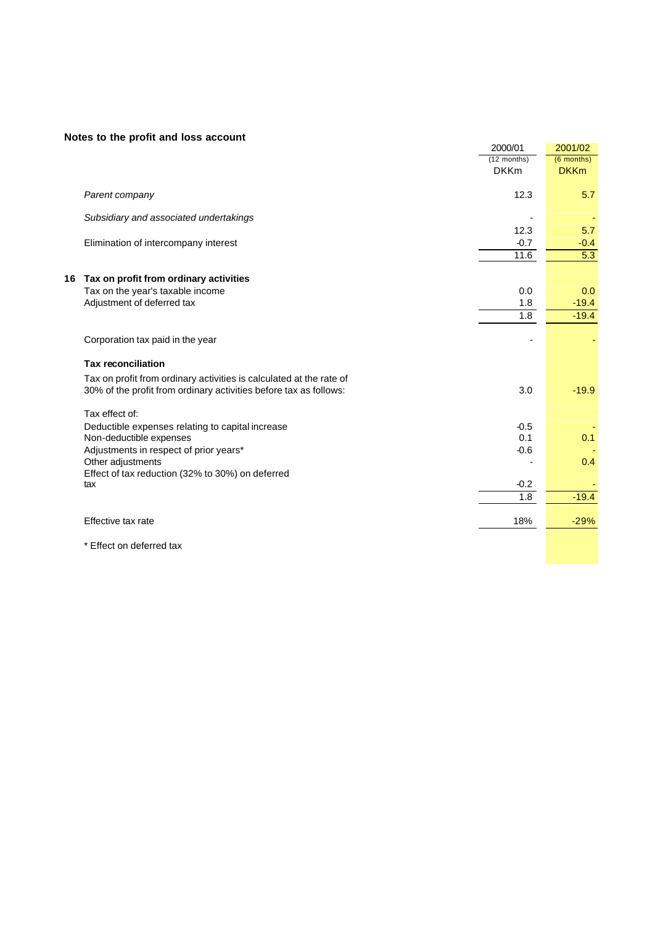|    |                                                                     | 2000/01        | 2001/02       |
|----|---------------------------------------------------------------------|----------------|---------------|
|    |                                                                     | $(12$ months)  | (6 months)    |
|    |                                                                     | <b>DKKm</b>    | <b>DKKm</b>   |
|    | Parent company                                                      | 12.3           | 5.7           |
|    | Subsidiary and associated undertakings                              |                |               |
|    |                                                                     | 12.3           | 5.7           |
|    | Elimination of intercompany interest                                | $-0.7$<br>11.6 | $-0.4$<br>5.3 |
|    |                                                                     |                |               |
| 16 | Tax on profit from ordinary activities                              |                |               |
|    | Tax on the year's taxable income                                    | 0.0            | 0.0           |
|    | Adjustment of deferred tax                                          | 1.8            | $-19.4$       |
|    |                                                                     | 1.8            | $-19.4$       |
|    | Corporation tax paid in the year                                    |                |               |
|    | <b>Tax reconciliation</b>                                           |                |               |
|    | Tax on profit from ordinary activities is calculated at the rate of |                |               |
|    | 30% of the profit from ordinary activities before tax as follows:   | 3.0            | $-19.9$       |
|    | Tax effect of:                                                      |                |               |
|    | Deductible expenses relating to capital increase                    | $-0.5$         |               |
|    | Non-deductible expenses                                             | 0.1            | 0.1           |
|    | Adjustments in respect of prior years*                              | $-0.6$         |               |
|    | Other adjustments                                                   |                | 0.4           |
|    | Effect of tax reduction (32% to 30%) on deferred<br>tax             | $-0.2$         |               |
|    |                                                                     | 1.8            | $-19.4$       |
|    |                                                                     |                |               |
|    | Effective tax rate                                                  | 18%            | $-29%$        |
|    |                                                                     |                |               |

\* Effect on deferred tax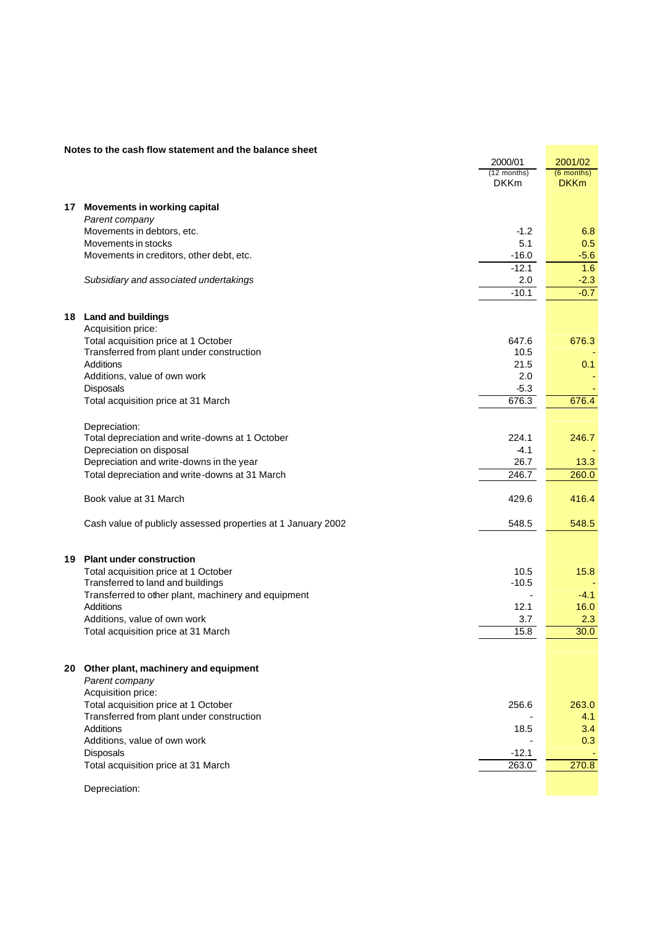|    | Notes to the cash flow statement and the balance sheet       |               |              |
|----|--------------------------------------------------------------|---------------|--------------|
|    |                                                              | 2000/01       | 2001/02      |
|    |                                                              | $(12$ months) | $(6$ months) |
|    |                                                              | <b>DKKm</b>   | <b>DKKm</b>  |
|    |                                                              |               |              |
|    | 17 Movements in working capital                              |               |              |
|    | Parent company                                               |               |              |
|    | Movements in debtors, etc.                                   | $-1.2$        | 6.8          |
|    | Movements in stocks                                          | 5.1           |              |
|    |                                                              |               | 0.5          |
|    | Movements in creditors, other debt, etc.                     | $-16.0$       | $-5.6$       |
|    |                                                              | $-12.1$       | 1.6          |
|    | Subsidiary and associated undertakings                       | 2.0           | $-2.3$       |
|    |                                                              | $-10.1$       | $-0.7$       |
|    |                                                              |               |              |
|    | 18 Land and buildings                                        |               |              |
|    | Acquisition price:                                           |               |              |
|    | Total acquisition price at 1 October                         | 647.6         | 676.3        |
|    | Transferred from plant under construction                    | 10.5          |              |
|    | <b>Additions</b>                                             | 21.5          | 0.1          |
|    |                                                              | 2.0           |              |
|    | Additions, value of own work                                 |               |              |
|    | Disposals                                                    | $-5.3$        |              |
|    | Total acquisition price at 31 March                          | 676.3         | 676.4        |
|    |                                                              |               |              |
|    | Depreciation:                                                |               |              |
|    | Total depreciation and write-downs at 1 October              | 224.1         | 246.7        |
|    | Depreciation on disposal                                     | $-4.1$        |              |
|    | Depreciation and write-downs in the year                     | 26.7          | 13.3         |
|    | Total depreciation and write-downs at 31 March               | 246.7         | 260.0        |
|    |                                                              |               |              |
|    | Book value at 31 March                                       | 429.6         | 416.4        |
|    |                                                              |               |              |
|    |                                                              |               |              |
|    | Cash value of publicly assessed properties at 1 January 2002 | 548.5         | 548.5        |
|    |                                                              |               |              |
|    |                                                              |               |              |
| 19 | <b>Plant under construction</b>                              |               |              |
|    | Total acquisition price at 1 October                         | 10.5          | 15.8         |
|    | Transferred to land and buildings                            | $-10.5$       |              |
|    | Transferred to other plant, machinery and equipment          |               | $-4.1$       |
|    | Additions                                                    | 12.1          | 16.0         |
|    | Additions, value of own work                                 | 3.7           | 2.3          |
|    | Total acquisition price at 31 March                          | 15.8          | 30.0         |
|    |                                                              |               |              |
|    |                                                              |               |              |
|    | 20 Other plant, machinery and equipment                      |               |              |
|    | Parent company                                               |               |              |
|    | Acquisition price:                                           |               |              |
|    | Total acquisition price at 1 October                         | 256.6         | 263.0        |
|    | Transferred from plant under construction                    |               | 4.1          |
|    |                                                              |               |              |
|    | Additions                                                    | 18.5          | 3.4          |
|    | Additions, value of own work                                 |               | 0.3          |
|    | Disposals                                                    | $-12.1$       |              |
|    | Total acquisition price at 31 March                          | 263.0         | 270.8        |
|    |                                                              |               |              |
|    |                                                              |               |              |

Depreciation:

#### **Notes to the cash flow statement and the balance sheet**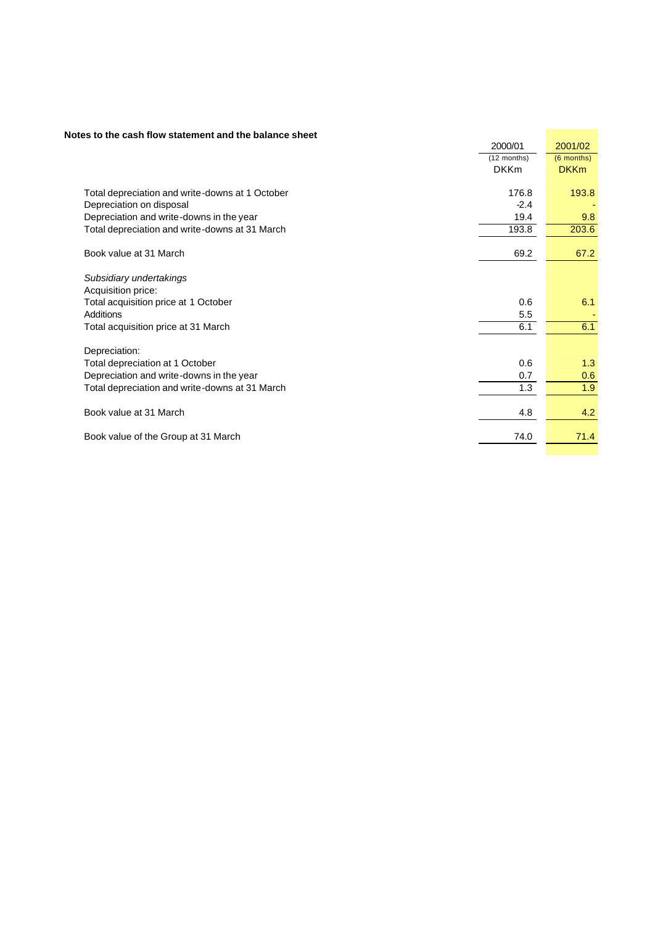#### **Notes to the cash flow statement and the balance sheet**

| tes to the cash flow statement and the balance sheet |             |              |
|------------------------------------------------------|-------------|--------------|
|                                                      | 2000/01     | 2001/02      |
|                                                      | (12 months) | $(6$ months) |
|                                                      | <b>DKKm</b> | <b>DKKm</b>  |
|                                                      |             |              |
| Total depreciation and write-downs at 1 October      | 176.8       | 193.8        |
| Depreciation on disposal                             | $-2.4$      |              |
| Depreciation and write-downs in the year             | 19.4        | 9.8          |
| Total depreciation and write-downs at 31 March       | 193.8       | 203.6        |
|                                                      |             |              |
| Book value at 31 March                               | 69.2        | 67.2         |
|                                                      |             |              |
| Subsidiary undertakings                              |             |              |
| Acquisition price:                                   |             |              |
| Total acquisition price at 1 October                 | 0.6         | 6.1          |
| Additions                                            | 5.5         |              |
| Total acquisition price at 31 March                  | 6.1         | 6.1          |
|                                                      |             |              |
| Depreciation:                                        |             |              |
| Total depreciation at 1 October                      | 0.6         | 1.3          |
| Depreciation and write-downs in the year             | 0.7         | 0.6          |
| Total depreciation and write-downs at 31 March       | 1.3         | 1.9          |
|                                                      |             |              |
| Book value at 31 March                               | 4.8         | 4.2          |
|                                                      |             |              |
| Book value of the Group at 31 March                  | 74.0        | 71.4         |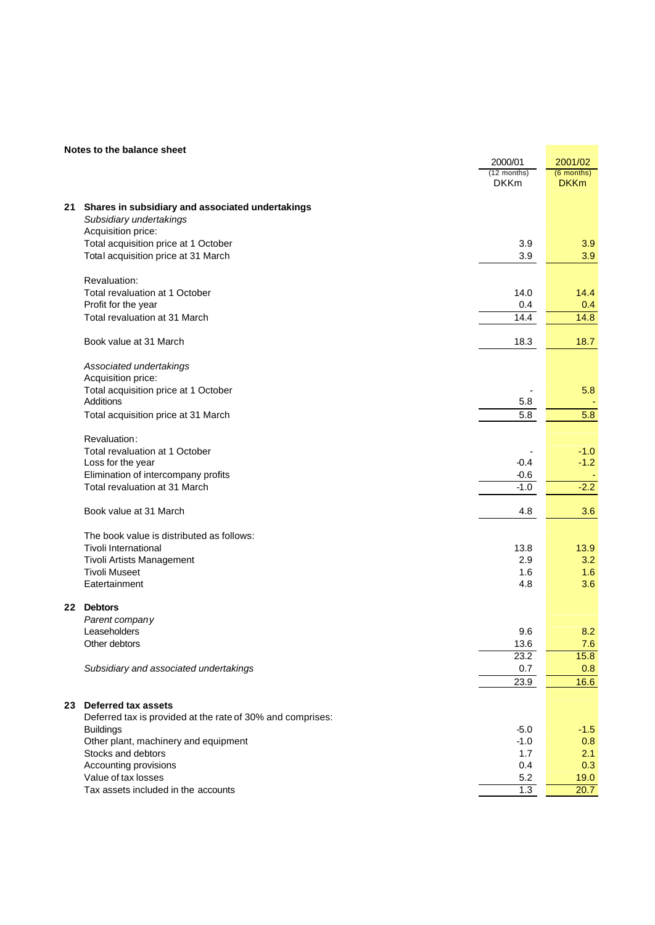#### **Notes to the balance sheet**

|    |                                                                                   | 2000/01                      | 2001/02                     |
|----|-----------------------------------------------------------------------------------|------------------------------|-----------------------------|
|    |                                                                                   | $(12$ months)<br><b>DKKm</b> | $(6$ months)<br><b>DKKm</b> |
|    |                                                                                   |                              |                             |
| 21 | Shares in subsidiary and associated undertakings<br>Subsidiary undertakings       |                              |                             |
|    | Acquisition price:                                                                |                              |                             |
|    | Total acquisition price at 1 October                                              | 3.9                          | 3.9                         |
|    | Total acquisition price at 31 March                                               | 3.9                          | 3.9                         |
|    | Revaluation:                                                                      |                              |                             |
|    | Total revaluation at 1 October                                                    | 14.0                         | 14.4                        |
|    | Profit for the year                                                               | 0.4                          | 0.4                         |
|    | Total revaluation at 31 March                                                     | 14.4                         | 14.8                        |
|    | Book value at 31 March                                                            | 18.3                         | 18.7                        |
|    | Associated undertakings                                                           |                              |                             |
|    | Acquisition price:                                                                |                              |                             |
|    | Total acquisition price at 1 October<br><b>Additions</b>                          | 5.8                          | 5.8                         |
|    | Total acquisition price at 31 March                                               | 5.8                          | 5.8                         |
|    |                                                                                   |                              |                             |
|    | Revaluation:                                                                      |                              |                             |
|    | Total revaluation at 1 October                                                    |                              | $-1.0$                      |
|    | Loss for the year                                                                 | $-0.4$                       | $-1.2$                      |
|    | Elimination of intercompany profits                                               | $-0.6$                       |                             |
|    | Total revaluation at 31 March                                                     | $-1.0$                       | $-2.2$                      |
|    | Book value at 31 March                                                            | 4.8                          | 3.6                         |
|    | The book value is distributed as follows:                                         |                              |                             |
|    | <b>Tivoli International</b>                                                       | 13.8                         | 13.9                        |
|    | Tivoli Artists Management                                                         | 2.9                          | 3.2                         |
|    | <b>Tivoli Museet</b>                                                              | 1.6                          | 1.6                         |
|    | Eatertainment                                                                     | 4.8                          | 3.6                         |
|    | 22 Debtors                                                                        |                              |                             |
|    | Parent company                                                                    |                              |                             |
|    | Leaseholders<br>Other debtors                                                     | 9.6<br>13.6                  | 8.2<br>7.6                  |
|    |                                                                                   | 23.2                         | 15.8                        |
|    | Subsidiary and associated undertakings                                            | 0.7                          | 0.8                         |
|    |                                                                                   | 23.9                         | 16.6                        |
|    |                                                                                   |                              |                             |
| 23 | Deferred tax assets<br>Deferred tax is provided at the rate of 30% and comprises: |                              |                             |
|    | <b>Buildings</b>                                                                  | $-5.0$                       | $-1.5$                      |
|    | Other plant, machinery and equipment                                              | $-1.0$                       | 0.8                         |
|    | Stocks and debtors                                                                | 1.7                          | 2.1                         |
|    | Accounting provisions                                                             | 0.4                          | 0.3                         |
|    | Value of tax losses                                                               | 5.2                          | 19.0                        |
|    | Tax assets included in the accounts                                               | 1.3                          | 20.7                        |
|    |                                                                                   |                              |                             |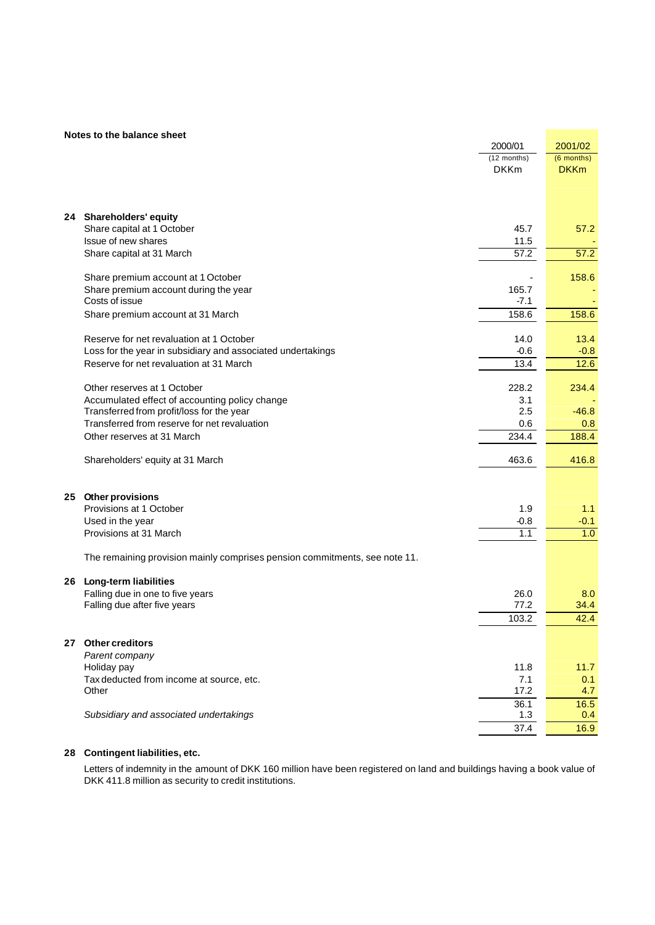#### **Notes to the balance sheet**

|    | Notes to the balance sheet                                                 |               |              |
|----|----------------------------------------------------------------------------|---------------|--------------|
|    |                                                                            | 2000/01       | 2001/02      |
|    |                                                                            | $(12$ months) | $(6$ months) |
|    |                                                                            | <b>DKKm</b>   | <b>DKKm</b>  |
|    |                                                                            |               |              |
|    |                                                                            |               |              |
|    | 24 Shareholders' equity                                                    |               |              |
|    | Share capital at 1 October                                                 | 45.7          | 57.2         |
|    | Issue of new shares                                                        | 11.5          |              |
|    | Share capital at 31 March                                                  | 57.2          | 57.2         |
|    | Share premium account at 1 October                                         |               | 158.6        |
|    | Share premium account during the year                                      | 165.7         |              |
|    | Costs of issue                                                             | -7.1          |              |
|    | Share premium account at 31 March                                          | 158.6         | 158.6        |
|    | Reserve for net revaluation at 1 October                                   | 14.0          | 13.4         |
|    | Loss for the year in subsidiary and associated undertakings                | $-0.6$        | $-0.8$       |
|    | Reserve for net revaluation at 31 March                                    | 13.4          | 12.6         |
|    |                                                                            |               |              |
|    | Other reserves at 1 October                                                | 228.2         | 234.4        |
|    | Accumulated effect of accounting policy change                             | 3.1           |              |
|    | Transferred from profit/loss for the year                                  | 2.5           | $-46.8$      |
|    | Transferred from reserve for net revaluation                               | 0.6           | 0.8          |
|    | Other reserves at 31 March                                                 | 234.4         | 188.4        |
|    | Shareholders' equity at 31 March                                           | 463.6         | 416.8        |
|    |                                                                            |               |              |
| 25 | Other provisions                                                           |               |              |
|    | Provisions at 1 October                                                    | 1.9           | 1.1          |
|    | Used in the year                                                           | $-0.8$        | $-0.1$       |
|    | Provisions at 31 March                                                     | 1.1           | 1.0          |
|    | The remaining provision mainly comprises pension commitments, see note 11. |               |              |
|    |                                                                            |               |              |
| 26 | Long-term liabilities                                                      |               |              |
|    | Falling due in one to five years                                           | 26.0          | 8.0          |
|    | Falling due after five years                                               | 77.2          | 34.4         |
|    |                                                                            | 103.2         | 42.4         |
| 27 | <b>Other creditors</b>                                                     |               |              |
|    | Parent company                                                             |               |              |
|    | Holiday pay                                                                | 11.8          | 11.7         |
|    | Tax deducted from income at source, etc.                                   | 7.1           | 0.1          |
|    | Other                                                                      | 17.2          | 4.7          |
|    |                                                                            | 36.1          | 16.5         |
|    | Subsidiary and associated undertakings                                     | 1.3           | 0.4          |
|    |                                                                            | 37.4          | 16.9         |

#### **28 Contingent liabilities, etc.**

Letters of indemnity in the amount of DKK 160 million have been registered on land and buildings having a book value of DKK 411.8 million as security to credit institutions.